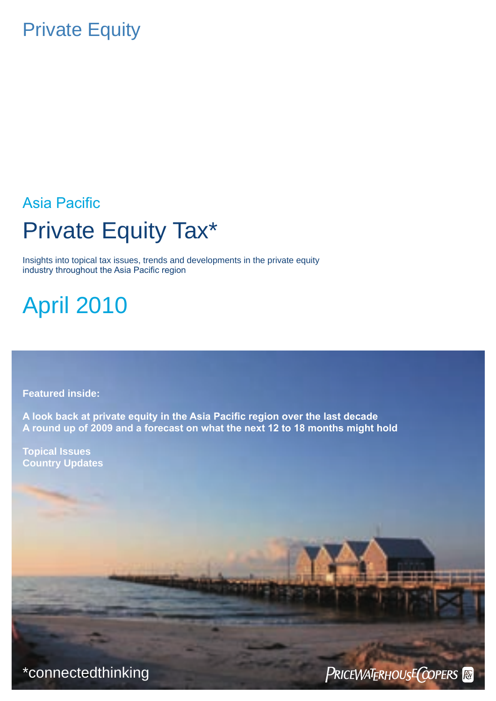## Private Equity

## Asia Pacific Private Equity Tax\*

Insights into topical tax issues, trends and developments in the private equity industry throughout the Asia Pacific region

April 2010

**Featured inside:**

**A look back at private equity in the Asia Pacific region over the last decade A round up of 2009 and a forecast on what the next 12 to 18 months might hold**

**Topical Issues Country Updates**

\*connectedthinking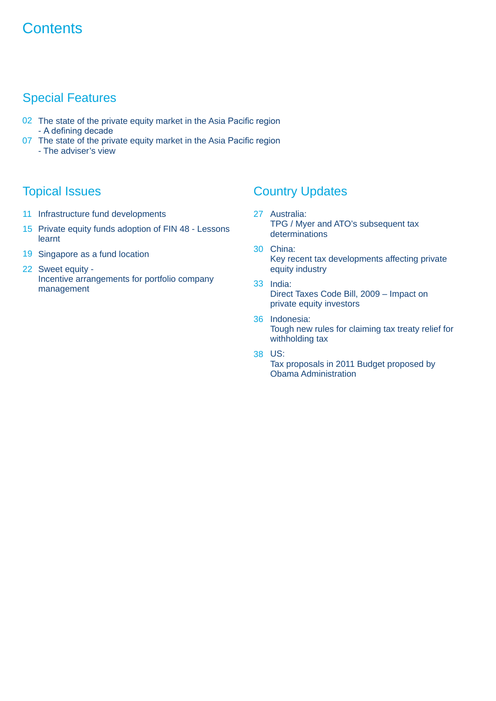## **Contents**

## Special Features

- 02 The state of the private equity market in the Asia Pacific region - A defining decade
- 07 The state of the private equity market in the Asia Pacific region - The adviser's view

- 11 Infrastructure fund developments
- 15 Private equity funds adoption of FIN 48 Lessons learnt
- 19 Singapore as a fund location
- 22 Sweet equity -Incentive arrangements for portfolio company management

## **Topical Issues Country Updates**

- Australia: 27 TPG / Myer and ATO's subsequent tax determinations
- China: 30 Key recent tax developments affecting private equity industry
- 33 India: Direct Taxes Code Bill, 2009 – Impact on private equity investors
- 36 Indonesia: Tough new rules for claiming tax treaty relief for withholding tax
- US: 38
	- Tax proposals in 2011 Budget proposed by Obama Administration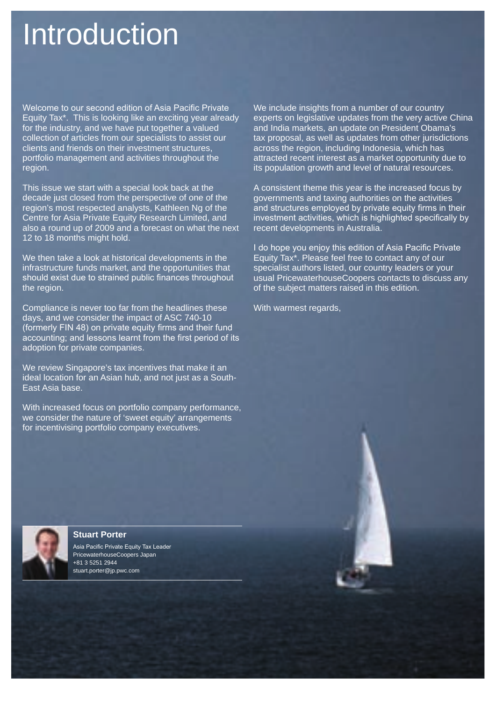## Introduction

Welcome to our second edition of Asia Pacific Private Equity Tax\*. This is looking like an exciting year already for the industry, and we have put together a valued collection of articles from our specialists to assist our clients and friends on their investment structures, portfolio management and activities throughout the region.

This issue we start with a special look back at the decade just closed from the perspective of one of the region's most respected analysts, Kathleen Ng of the Centre for Asia Private Equity Research Limited, and also a round up of 2009 and a forecast on what the next 12 to 18 months might hold.

We then take a look at historical developments in the infrastructure funds market, and the opportunities that should exist due to strained public finances throughout the region.

Compliance is never too far from the headlines these days, and we consider the impact of ASC 740-10 (formerly FIN 48) on private equity firms and their fund accounting; and lessons learnt from the first period of its adoption for private companies.

We review Singapore's tax incentives that make it an ideal location for an Asian hub, and not just as a South-East Asia base.

With increased focus on portfolio company performance, we consider the nature of 'sweet equity' arrangements for incentivising portfolio company executives.

We include insights from a number of our country experts on legislative updates from the very active China and India markets, an update on President Obama's tax proposal, as well as updates from other jurisdictions across the region, including Indonesia, which has attracted recent interest as a market opportunity due to its population growth and level of natural resources.

A consistent theme this year is the increased focus by governments and taxing authorities on the activities and structures employed by private equity firms in their investment activities, which is highlighted specifically by recent developments in Australia.

I do hope you enjoy this edition of Asia Pacific Private Equity Tax\*. Please feel free to contact any of our specialist authors listed, our country leaders or your usual PricewaterhouseCoopers contacts to discuss any of the subject matters raised in this edition.

With warmest regards,



**Stuart Porter**

Asia Pacific Private Equity Tax Leader PricewaterhouseCoopers Japan +81 3 5251 2944 stuart.porter@jp.pwc.com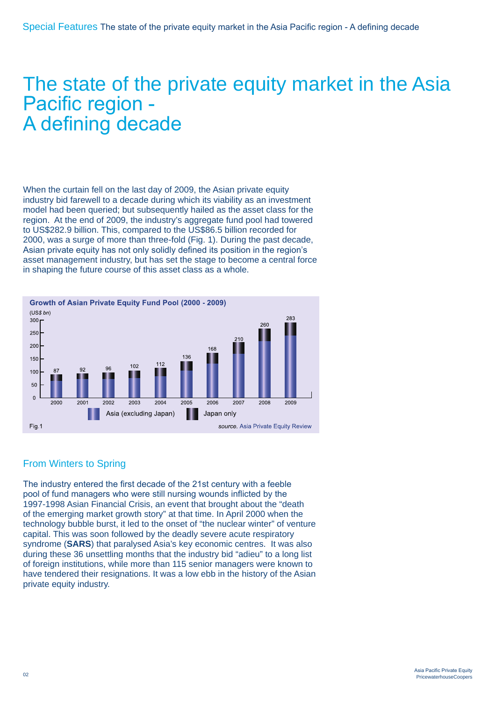# The state of the private equity market in the Asia<br>Pacific region -A defining decade

When the curtain fell on the last day of 2009, the Asian private equity industry bid farewell to a decade during which its viability as an investment model had been queried; but subsequently hailed as the asset class for the region. At the end of 2009, the industry's aggregate fund pool had towered to US\$282.9 billion. This, compared to the US\$86.5 billion recorded for 2000, was a surge of more than three-fold (Fig. 1). During the past decade, Asian private equity has not only solidly defined its position in the region's asset management industry, but has set the stage to become a central force in shaping the future course of this asset class as a whole.



## From Winters to Spring

The industry entered the first decade of the 21st century with a feeble pool of fund managers who were still nursing wounds inflicted by the 1997-1998 Asian Financial Crisis, an event that brought about the "death of the emerging market growth story" at that time. In April 2000 when the technology bubble burst, it led to the onset of "the nuclear winter" of venture capital. This was soon followed by the deadly severe acute respiratory syndrome (**SARS**) that paralysed Asia's key economic centres. It was also during these 36 unsettling months that the industry bid "adieu" to a long list of foreign institutions, while more than 115 senior managers were known to have tendered their resignations. It was a low ebb in the history of the Asian private equity industry.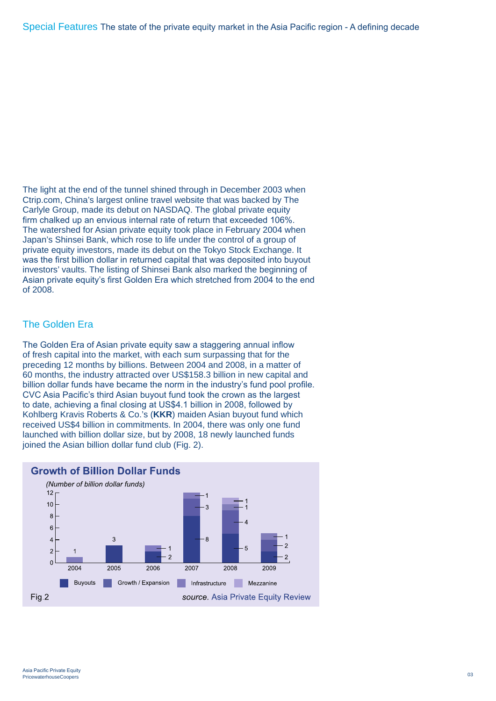The light at the end of the tunnel shined through in December 2003 when Ctrip.com, China's largest online travel website that was backed by The Carlyle Group, made its debut on NASDAQ. The global private equity firm chalked up an envious internal rate of return that exceeded 106%. The watershed for Asian private equity took place in February 2004 when Japan's Shinsei Bank, which rose to life under the control of a group of private equity investors, made its debut on the Tokyo Stock Exchange. It was the first billion dollar in returned capital that was deposited into buyout investors' vaults. The listing of Shinsei Bank also marked the beginning of Asian private equity's first Golden Era which stretched from 2004 to the end of 2008.

## The Golden Era

The Golden Era of Asian private equity saw a staggering annual inflow of fresh capital into the market, with each sum surpassing that for the preceding 12 months by billions. Between 2004 and 2008, in a matter of 60 months, the industry attracted over US\$158.3 billion in new capital and billion dollar funds have became the norm in the industry's fund pool profile. CVC Asia Pacific's third Asian buyout fund took the crown as the largest to date, achieving a final closing at US\$4.1 billion in 2008, followed by Kohlberg Kravis Roberts & Co.'s (**KKR**) maiden Asian buyout fund which received US\$4 billion in commitments. In 2004, there was only one fund launched with billion dollar size, but by 2008, 18 newly launched funds joined the Asian billion dollar fund club (Fig. 2).



## **Growth of Billion Dollar Funds**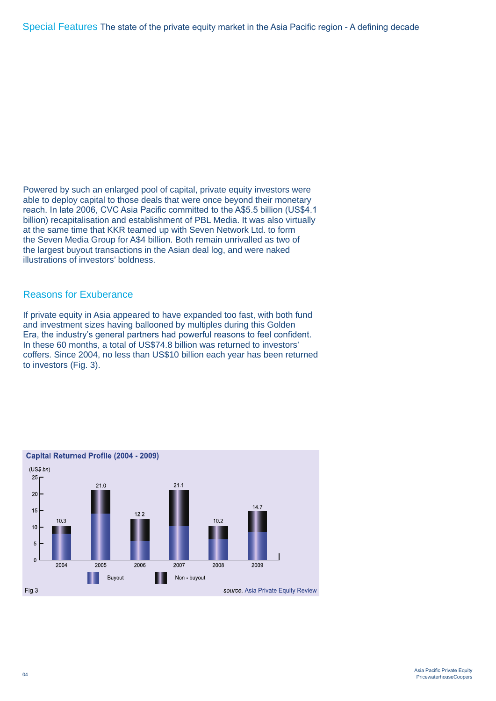Powered by such an enlarged pool of capital, private equity investors were able to deploy capital to those deals that were once beyond their monetary reach. In late 2006, CVC Asia Pacific committed to the A\$5.5 billion (US\$4.1 billion) recapitalisation and establishment of PBL Media. It was also virtually at the same time that KKR teamed up with Seven Network Ltd. to form the Seven Media Group for A\$4 billion. Both remain unrivalled as two of the largest buyout transactions in the Asian deal log, and were naked illustrations of investors' boldness.

## Reasons for Exuberance

If private equity in Asia appeared to have expanded too fast, with both fund and investment sizes having ballooned by multiples during this Golden Era, the industry's general partners had powerful reasons to feel confident. In these 60 months, a total of US\$74.8 billion was returned to investors' coffers. Since 2004, no less than US\$10 billion each year has been returned to investors (Fig. 3).



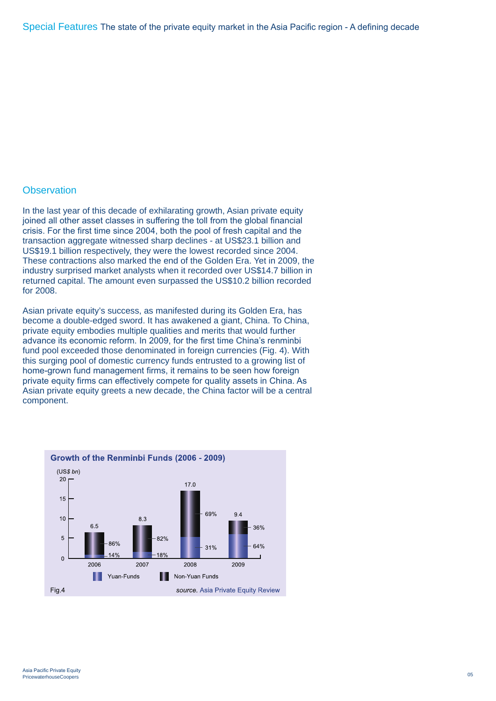## **Observation**

In the last year of this decade of exhilarating growth, Asian private equity joined all other asset classes in suffering the toll from the global financial crisis. For the first time since 2004, both the pool of fresh capital and the transaction aggregate witnessed sharp declines - at US\$23.1 billion and US\$19.1 billion respectively, they were the lowest recorded since 2004. These contractions also marked the end of the Golden Era. Yet in 2009, the industry surprised market analysts when it recorded over US\$14.7 billion in returned capital. The amount even surpassed the US\$10.2 billion recorded for 2008.

Asian private equity's success, as manifested during its Golden Era, has become a double-edged sword. It has awakened a giant, China. To China, private equity embodies multiple qualities and merits that would further advance its economic reform. In 2009, for the first time China's renminbi fund pool exceeded those denominated in foreign currencies (Fig. 4). With this surging pool of domestic currency funds entrusted to a growing list of home-grown fund management firms, it remains to be seen how foreign private equity firms can effectively compete for quality assets in China. As Asian private equity greets a new decade, the China factor will be a central component.

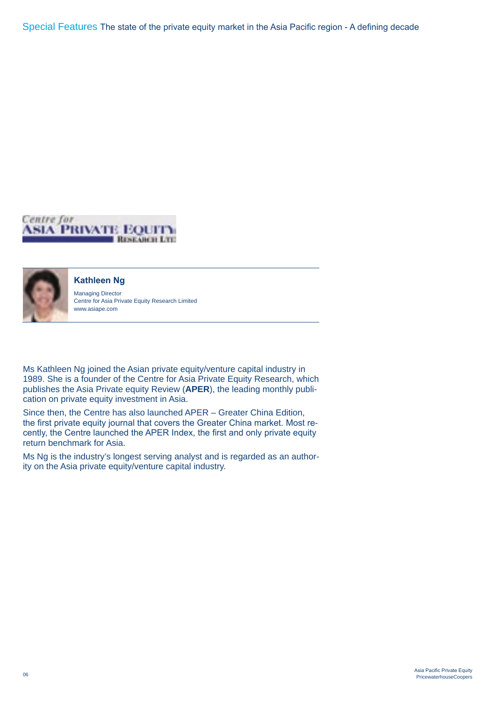Special Features The state of the private equity market in the Asia Pacific region - A defining decade





### **Kathleen Ng**

Managing Director Centre for Asia Private Equity Research Limited www.asiape.com

Ms Kathleen Ng joined the Asian private equity/venture capital industry in 1989. She is a founder of the Centre for Asia Private Equity Research, which publishes the Asia Private equity Review (**APER**), the leading monthly publication on private equity investment in Asia.

Since then, the Centre has also launched APER – Greater China Edition, the first private equity journal that covers the Greater China market. Most recently, the Centre launched the APER Index, the first and only private equity return benchmark for Asia.

Ms Ng is the industry's longest serving analyst and is regarded as an authority on the Asia private equity/venture capital industry.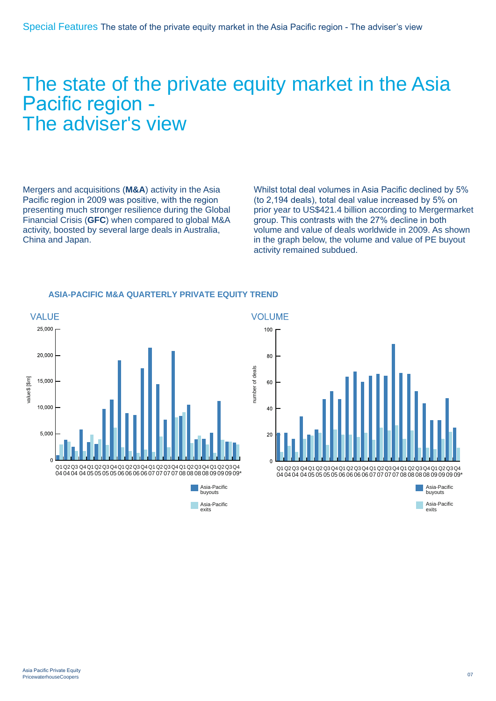## The state of the private equity market in the Asia Pacific region - The adviser's view

Mergers and acquisitions (**M&A**) activity in the Asia Pacific region in 2009 was positive, with the region presenting much stronger resilience during the Global Financial Crisis (**GFC**) when compared to global M&A activity, boosted by several large deals in Australia, China and Japan.

Whilst total deal volumes in Asia Pacific declined by 5% (to 2,194 deals), total deal value increased by 5% on prior year to US\$421.4 billion according to Mergermarket group. This contrasts with the 27% decline in both volume and value of deals worldwide in 2009. As shown in the graph below, the volume and value of PE buyout activity remained subdued.



## **ASIA-PACIFIC M&A QUARTERLY PRIVATE EQUITY TREND**



Asia-Pacific exits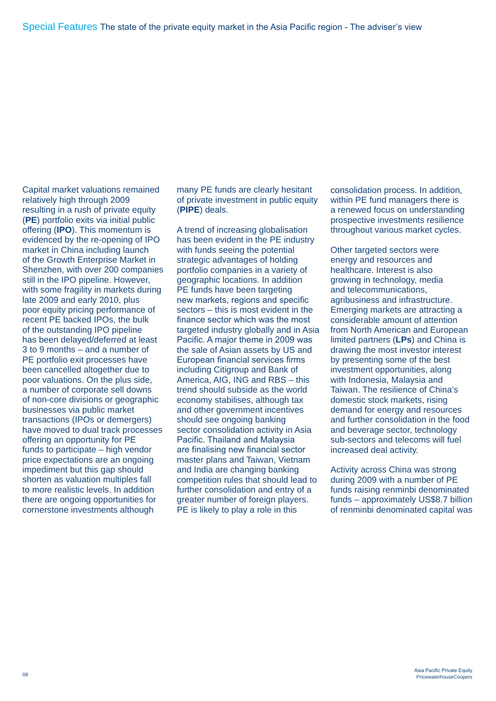Capital market valuations remained relatively high through 2009 resulting in a rush of private equity (**PE**) portfolio exits via initial public offering (**IPO**). This momentum is evidenced by the re-opening of IPO market in China including launch of the Growth Enterprise Market in Shenzhen, with over 200 companies still in the IPO pipeline. However, with some fragility in markets during late 2009 and early 2010, plus poor equity pricing performance of recent PE backed IPOs, the bulk of the outstanding IPO pipeline has been delayed/deferred at least 3 to 9 months – and a number of PE portfolio exit processes have been cancelled altogether due to poor valuations. On the plus side, a number of corporate sell downs of non-core divisions or geographic businesses via public market transactions (IPOs or demergers) have moved to dual track processes offering an opportunity for PE funds to participate – high vendor price expectations are an ongoing impediment but this gap should shorten as valuation multiples fall to more realistic levels. In addition there are ongoing opportunities for cornerstone investments although

many PE funds are clearly hesitant of private investment in public equity (**PIPE**) deals.

A trend of increasing globalisation has been evident in the PE industry with funds seeing the potential strategic advantages of holding portfolio companies in a variety of geographic locations. In addition PE funds have been targeting new markets, regions and specific sectors – this is most evident in the finance sector which was the most targeted industry globally and in Asia Pacific. A major theme in 2009 was the sale of Asian assets by US and European financial services firms including Citigroup and Bank of America, AIG, ING and RBS – this trend should subside as the world economy stabilises, although tax and other government incentives should see ongoing banking sector consolidation activity in Asia Pacific. Thailand and Malaysia are finalising new financial sector master plans and Taiwan, Vietnam and India are changing banking competition rules that should lead to further consolidation and entry of a greater number of foreign players. PE is likely to play a role in this

consolidation process. In addition, within PE fund managers there is a renewed focus on understanding prospective investments resilience throughout various market cycles.

Other targeted sectors were energy and resources and healthcare. Interest is also growing in technology, media and telecommunications, agribusiness and infrastructure. Emerging markets are attracting a considerable amount of attention from North American and European limited partners (**LPs**) and China is drawing the most investor interest by presenting some of the best investment opportunities, along with Indonesia, Malaysia and Taiwan. The resilience of China's domestic stock markets, rising demand for energy and resources and further consolidation in the food and beverage sector, technology sub-sectors and telecoms will fuel increased deal activity.

Activity across China was strong during 2009 with a number of PE funds raising renminbi denominated funds – approximately US\$8.7 billion of renminbi denominated capital was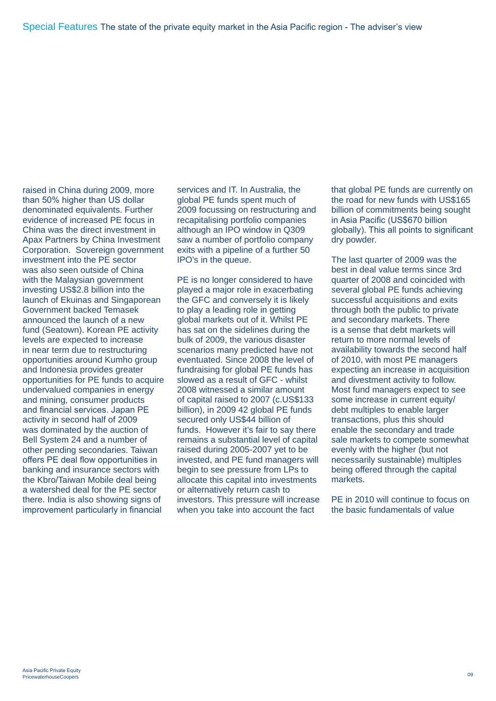raised in China during 2009, more than 50% higher than US dollar denominated equivalents. Further evidence of increased PE focus in China was the direct investment in Apax Partners by China Investment Corporation. Sovereign government investment into the PE sector was also seen outside of China with the Malaysian government investing US\$2.8 billion into the launch of Ekuinas and Singaporean Government backed Temasek announced the launch of a new fund (Seatown). Korean PE activity levels are expected to increase in near term due to restructuring opportunities around Kumho group and Indonesia provides greater opportunities for PE funds to acquire undervalued companies in energy and mining, consumer products and financial services. Japan PE activity in second half of 2009 was dominated by the auction of Bell System 24 and a number of other pending secondaries. Taiwan offers PE deal flow opportunities in banking and insurance sectors with the Kbro/Taiwan Mobile deal being a watershed deal for the PE sector there. India is also showing signs of improvement particularly in financial

services and IT. In Australia, the global PE funds spent much of 2009 focussing on restructuring and recapitalising portfolio companies although an IPO window in Q309 saw a number of portfolio company exits with a pipeline of a further 50 IPO's in the queue.

PE is no longer considered to have played a major role in exacerbating the GFC and conversely it is likely to play a leading role in getting global markets out of it. Whilst PE has sat on the sidelines during the bulk of 2009, the various disaster scenarios many predicted have not eventuated. Since 2008 the level of fundraising for global PE funds has slowed as a result of GFC - whilst 2008 witnessed a similar amount of capital raised to 2007 (c.US\$133 billion), in 2009 42 global PE funds secured only US\$44 billion of funds. However it's fair to say there remains a substantial level of capital raised during 2005-2007 yet to be invested, and PE fund managers will begin to see pressure from LPs to allocate this capital into investments or alternatively return cash to investors. This pressure will increase when you take into account the fact

that global PE funds are currently on the road for new funds with US\$165 billion of commitments being sought in Asia Pacific (US\$670 billion globally). This all points to significant dry powder.

The last quarter of 2009 was the best in deal value terms since 3rd quarter of 2008 and coincided with several global PE funds achieving successful acquisitions and exits through both the public to private and secondary markets. There is a sense that debt markets will return to more normal levels of availability towards the second half of 2010, with most PE managers expecting an increase in acquisition and divestment activity to follow. Most fund managers expect to see some increase in current equity/ debt multiples to enable larger transactions, plus this should enable the secondary and trade sale markets to compete somewhat evenly with the higher (but not necessarily sustainable) multiples being offered through the capital markets.

PE in 2010 will continue to focus on the basic fundamentals of value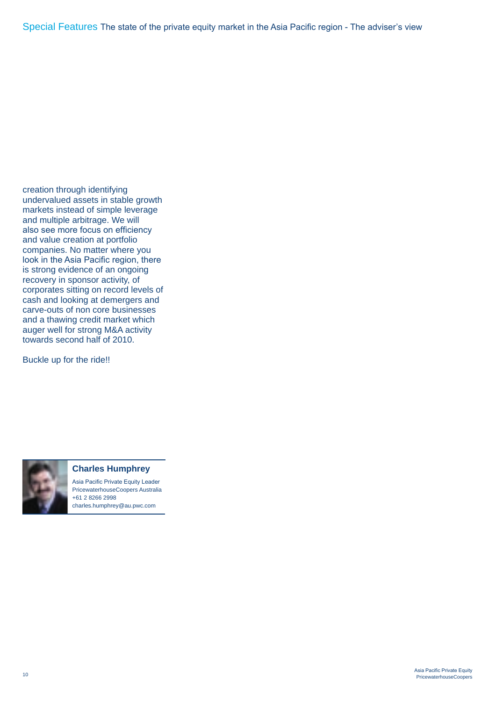creation through identifying undervalued assets in stable growth markets instead of simple leverage and multiple arbitrage. We will also see more focus on efficiency and value creation at portfolio companies. No matter where you look in the Asia Pacific region, there is strong evidence of an ongoing recovery in sponsor activity, of corporates sitting on record levels of cash and looking at demergers and carve-outs of non core businesses and a thawing credit market which auger well for strong M&A activity towards second half of 2010.

Buckle up for the ride!!



### **Charles Humphrey**

Asia Pacific Private Equity Leader PricewaterhouseCoopers Australia +61 2 8266 2998 charles.humphrey@au.pwc.com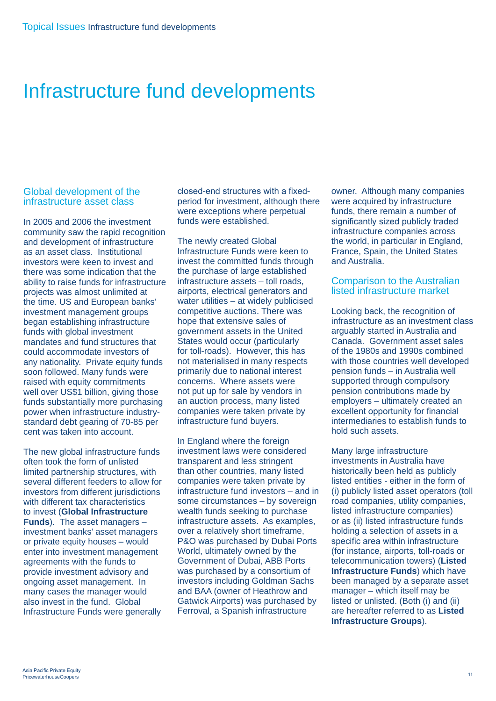## Infrastructure fund developments

## Global development of the infrastructure asset class

In 2005 and 2006 the investment community saw the rapid recognition and development of infrastructure as an asset class. Institutional investors were keen to invest and there was some indication that the ability to raise funds for infrastructure projects was almost unlimited at the time. US and European banks' investment management groups began establishing infrastructure funds with global investment mandates and fund structures that could accommodate investors of any nationality. Private equity funds soon followed. Many funds were raised with equity commitments well over US\$1 billion, giving those funds substantially more purchasing power when infrastructure industrystandard debt gearing of 70-85 per cent was taken into account.

The new global infrastructure funds often took the form of unlisted limited partnership structures, with several different feeders to allow for investors from different jurisdictions with different tax characteristics to invest (**Global Infrastructure Funds**). The asset managers – investment banks' asset managers or private equity houses – would enter into investment management agreements with the funds to provide investment advisory and ongoing asset management. In many cases the manager would also invest in the fund. Global Infrastructure Funds were generally

closed-end structures with a fixedperiod for investment, although there were exceptions where perpetual funds were established.

The newly created Global Infrastructure Funds were keen to invest the committed funds through the purchase of large established infrastructure assets – toll roads, airports, electrical generators and water utilities – at widely publicised competitive auctions. There was hope that extensive sales of government assets in the United States would occur (particularly for toll-roads). However, this has not materialised in many respects primarily due to national interest concerns. Where assets were not put up for sale by vendors in an auction process, many listed companies were taken private by infrastructure fund buyers.

In England where the foreign investment laws were considered transparent and less stringent than other countries, many listed companies were taken private by infrastructure fund investors – and in some circumstances – by sovereign wealth funds seeking to purchase infrastructure assets. As examples, over a relatively short timeframe, P&O was purchased by Dubai Ports World, ultimately owned by the Government of Dubai, ABB Ports was purchased by a consortium of investors including Goldman Sachs and BAA (owner of Heathrow and Gatwick Airports) was purchased by Ferroval, a Spanish infrastructure

owner. Although many companies were acquired by infrastructure funds, there remain a number of significantly sized publicly traded infrastructure companies across the world, in particular in England, France, Spain, the United States and Australia.

## Comparison to the Australian listed infrastructure market

Looking back, the recognition of infrastructure as an investment class arguably started in Australia and Canada. Government asset sales of the 1980s and 1990s combined with those countries well developed pension funds – in Australia well supported through compulsory pension contributions made by employers – ultimately created an excellent opportunity for financial intermediaries to establish funds to hold such assets.

Many large infrastructure investments in Australia have historically been held as publicly listed entities - either in the form of (i) publicly listed asset operators (toll road companies, utility companies, listed infrastructure companies) or as (ii) listed infrastructure funds holding a selection of assets in a specific area within infrastructure (for instance, airports, toll-roads or telecommunication towers) (**Listed Infrastructure Funds**) which have been managed by a separate asset manager – which itself may be listed or unlisted. (Both (i) and (ii) are hereafter referred to as **Listed Infrastructure Groups**).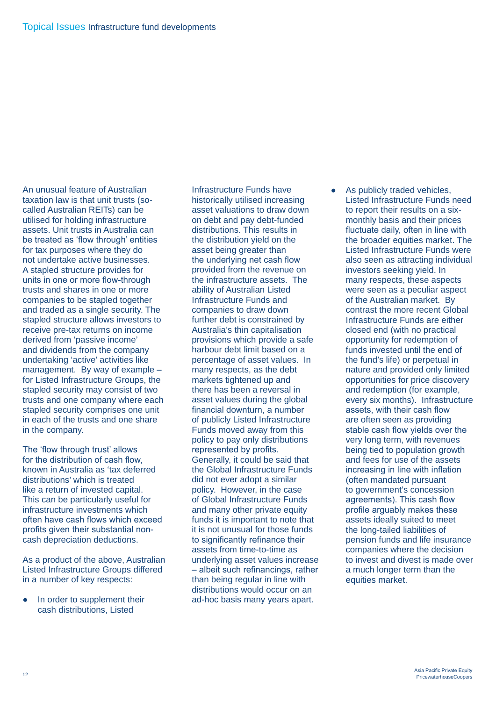An unusual feature of Australian taxation law is that unit trusts (socalled Australian REITs) can be utilised for holding infrastructure assets. Unit trusts in Australia can be treated as 'flow through' entities for tax purposes where they do not undertake active businesses. A stapled structure provides for units in one or more flow-through trusts and shares in one or more companies to be stapled together and traded as a single security. The stapled structure allows investors to receive pre-tax returns on income derived from 'passive income' and dividends from the company undertaking 'active' activities like management. By way of example – for Listed Infrastructure Groups, the stapled security may consist of two trusts and one company where each stapled security comprises one unit in each of the trusts and one share in the company.

The 'flow through trust' allows for the distribution of cash flow, known in Australia as 'tax deferred distributions' which is treated like a return of invested capital. This can be particularly useful for infrastructure investments which often have cash flows which exceed profits given their substantial noncash depreciation deductions.

As a product of the above, Australian Listed Infrastructure Groups differed in a number of key respects:

• In order to supplement their cash distributions, Listed

Infrastructure Funds have historically utilised increasing asset valuations to draw down on debt and pay debt-funded distributions. This results in the distribution yield on the asset being greater than the underlying net cash flow provided from the revenue on the infrastructure assets. The ability of Australian Listed Infrastructure Funds and companies to draw down further debt is constrained by Australia's thin capitalisation provisions which provide a safe harbour debt limit based on a percentage of asset values. In many respects, as the debt markets tightened up and there has been a reversal in asset values during the global financial downturn, a number of publicly Listed Infrastructure Funds moved away from this policy to pay only distributions represented by profits. Generally, it could be said that the Global Infrastructure Funds did not ever adopt a similar policy. However, in the case of Global Infrastructure Funds and many other private equity funds it is important to note that it is not unusual for those funds to significantly refinance their assets from time-to-time as underlying asset values increase – albeit such refinancings, rather than being regular in line with distributions would occur on an ad-hoc basis many years apart.

As publicly traded vehicles, Listed Infrastructure Funds need to report their results on a sixmonthly basis and their prices fluctuate daily, often in line with the broader equities market. The Listed Infrastructure Funds were also seen as attracting individual investors seeking yield. In many respects, these aspects were seen as a peculiar aspect of the Australian market. By contrast the more recent Global Infrastructure Funds are either closed end (with no practical opportunity for redemption of funds invested until the end of the fund's life) or perpetual in nature and provided only limited opportunities for price discovery and redemption (for example, every six months). Infrastructure assets, with their cash flow are often seen as providing stable cash flow yields over the very long term, with revenues being tied to population growth and fees for use of the assets increasing in line with inflation (often mandated pursuant to government's concession agreements). This cash flow profile arguably makes these assets ideally suited to meet the long-tailed liabilities of pension funds and life insurance companies where the decision to invest and divest is made over a much longer term than the equities market.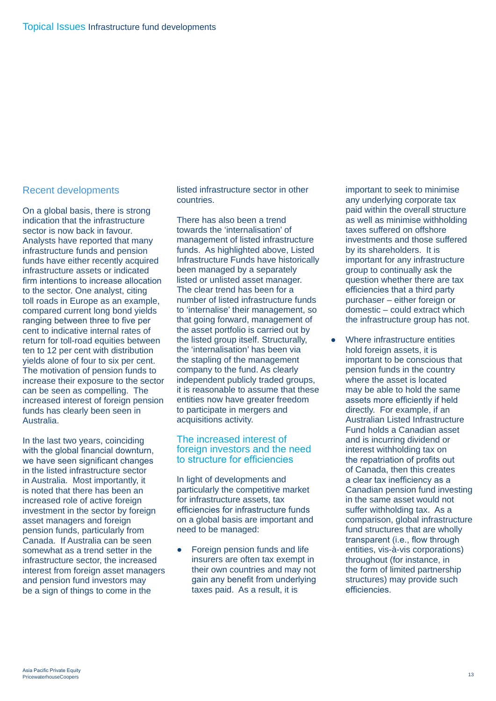## Recent developments

On a global basis, there is strong indication that the infrastructure sector is now back in favour. Analysts have reported that many infrastructure funds and pension funds have either recently acquired infrastructure assets or indicated firm intentions to increase allocation to the sector. One analyst, citing toll roads in Europe as an example, compared current long bond yields ranging between three to five per cent to indicative internal rates of return for toll-road equities between ten to 12 per cent with distribution yields alone of four to six per cent. The motivation of pension funds to increase their exposure to the sector can be seen as compelling. The increased interest of foreign pension funds has clearly been seen in Australia.

In the last two years, coinciding with the global financial downturn, we have seen significant changes in the listed infrastructure sector in Australia. Most importantly, it is noted that there has been an increased role of active foreign investment in the sector by foreign asset managers and foreign pension funds, particularly from Canada. If Australia can be seen somewhat as a trend setter in the infrastructure sector, the increased interest from foreign asset managers and pension fund investors may be a sign of things to come in the

listed infrastructure sector in other countries.

There has also been a trend towards the 'internalisation' of management of listed infrastructure funds. As highlighted above, Listed Infrastructure Funds have historically been managed by a separately listed or unlisted asset manager. The clear trend has been for a number of listed infrastructure funds to 'internalise' their management, so that going forward, management of the asset portfolio is carried out by the listed group itself. Structurally, the 'internalisation' has been via the stapling of the management company to the fund. As clearly independent publicly traded groups, it is reasonable to assume that these entities now have greater freedom to participate in mergers and acquisitions activity.

## The increased interest of foreign investors and the need to structure for efficiencies

In light of developments and particularly the competitive market for infrastructure assets, tax efficiencies for infrastructure funds on a global basis are important and need to be managed:

Foreign pension funds and life insurers are often tax exempt in their own countries and may not gain any benefit from underlying taxes paid. As a result, it is

important to seek to minimise any underlying corporate tax paid within the overall structure as well as minimise withholding taxes suffered on offshore investments and those suffered by its shareholders. It is important for any infrastructure group to continually ask the question whether there are tax efficiencies that a third party purchaser – either foreign or domestic – could extract which the infrastructure group has not.

Where infrastructure entities hold foreign assets, it is important to be conscious that pension funds in the country where the asset is located may be able to hold the same assets more efficiently if held directly. For example, if an Australian Listed Infrastructure Fund holds a Canadian asset and is incurring dividend or interest withholding tax on the repatriation of profits out of Canada, then this creates a clear tax inefficiency as a Canadian pension fund investing in the same asset would not suffer withholding tax. As a comparison, global infrastructure fund structures that are wholly transparent (i.e., flow through entities, vis-à-vis corporations) throughout (for instance, in the form of limited partnership structures) may provide such efficiencies.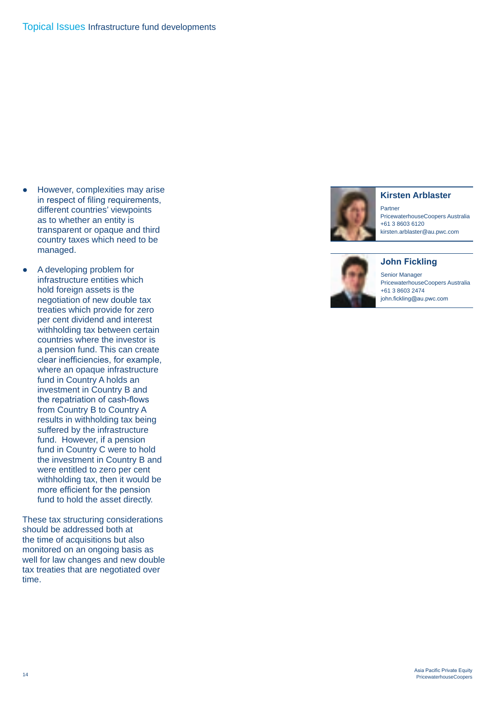- However, complexities may arise in respect of filing requirements, different countries' viewpoints as to whether an entity is transparent or opaque and third country taxes which need to be managed.
- A developing problem for infrastructure entities which hold foreign assets is the negotiation of new double tax treaties which provide for zero per cent dividend and interest withholding tax between certain countries where the investor is a pension fund. This can create clear inefficiencies, for example, where an opaque infrastructure fund in Country A holds an investment in Country B and the repatriation of cash-flows from Country B to Country A results in withholding tax being suffered by the infrastructure fund. However, if a pension fund in Country C were to hold the investment in Country B and were entitled to zero per cent withholding tax, then it would be more efficient for the pension fund to hold the asset directly.

These tax structuring considerations should be addressed both at the time of acquisitions but also monitored on an ongoing basis as well for law changes and new double tax treaties that are negotiated over time.



### **Kirsten Arblaster**

Partner PricewaterhouseCoopers Australia +61 3 8603 6120 kirsten.arblaster@au.pwc.com



Senior Manager PricewaterhouseCoopers Australia

+61 3 8603 2474 john.fickling@au.pwc.com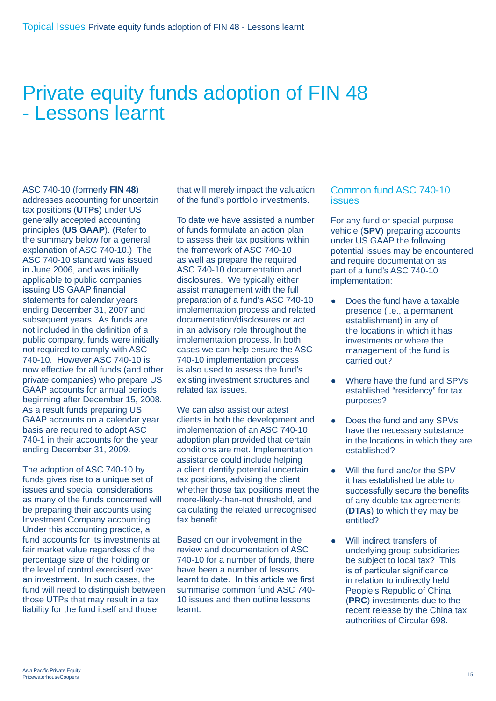## Private equity funds adoption of FIN 48 - Lessons learnt

ASC 740-10 (formerly **FIN 48**) addresses accounting for uncertain tax positions (**UTPs**) under US generally accepted accounting principles (**US GAAP**). (Refer to the summary below for a general explanation of ASC 740-10.) The ASC 740-10 standard was issued in June 2006, and was initially applicable to public companies issuing US GAAP financial statements for calendar years ending December 31, 2007 and subsequent years. As funds are not included in the definition of a public company, funds were initially not required to comply with ASC 740-10. However ASC 740-10 is now effective for all funds (and other private companies) who prepare US GAAP accounts for annual periods beginning after December 15, 2008. As a result funds preparing US GAAP accounts on a calendar year basis are required to adopt ASC 740-1 in their accounts for the year ending December 31, 2009.

The adoption of ASC 740-10 by funds gives rise to a unique set of issues and special considerations as many of the funds concerned will be preparing their accounts using Investment Company accounting. Under this accounting practice, a fund accounts for its investments at fair market value regardless of the percentage size of the holding or the level of control exercised over an investment. In such cases, the fund will need to distinguish between those UTPs that may result in a tax liability for the fund itself and those

that will merely impact the valuation of the fund's portfolio investments.

To date we have assisted a number of funds formulate an action plan to assess their tax positions within the framework of ASC 740-10 as well as prepare the required ASC 740-10 documentation and disclosures. We typically either assist management with the full preparation of a fund's ASC 740-10 implementation process and related documentation/disclosures or act in an advisory role throughout the implementation process. In both cases we can help ensure the ASC 740-10 implementation process is also used to assess the fund's existing investment structures and related tax issues.

We can also assist our attest clients in both the development and implementation of an ASC 740-10 adoption plan provided that certain conditions are met. Implementation assistance could include helping a client identify potential uncertain tax positions, advising the client whether those tax positions meet the more-likely-than-not threshold, and calculating the related unrecognised tax benefit.

Based on our involvement in the review and documentation of ASC 740-10 for a number of funds, there have been a number of lessons learnt to date. In this article we first summarise common fund ASC 740- 10 issues and then outline lessons learnt.

## Common fund ASC 740-10 **issues**

For any fund or special purpose vehicle (**SPV**) preparing accounts under US GAAP the following potential issues may be encountered and require documentation as part of a fund's ASC 740-10 implementation:

- Does the fund have a taxable presence (i.e., a permanent establishment) in any of the locations in which it has investments or where the management of the fund is carried out?
- Where have the fund and SPVs established "residency" for tax purposes?
- Does the fund and any SPVs have the necessary substance in the locations in which they are established?
- Will the fund and/or the SPV it has established be able to successfully secure the benefits of any double tax agreements (**DTAs**) to which they may be entitled?
- Will indirect transfers of underlying group subsidiaries be subject to local tax? This is of particular significance in relation to indirectly held People's Republic of China (**PRC**) investments due to the recent release by the China tax authorities of Circular 698.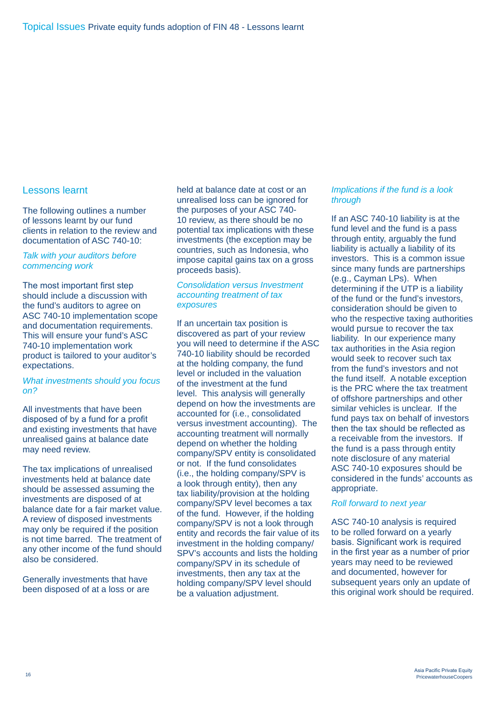## Lessons learnt

The following outlines a number of lessons learnt by our fund clients in relation to the review and documentation of ASC 740-10:

### *Talk with your auditors before commencing work*

The most important first step should include a discussion with the fund's auditors to agree on ASC 740-10 implementation scope and documentation requirements. This will ensure your fund's ASC 740-10 implementation work product is tailored to your auditor's expectations.

#### *What investments should you focus on?*

All investments that have been disposed of by a fund for a profit and existing investments that have unrealised gains at balance date may need review.

The tax implications of unrealised investments held at balance date should be assessed assuming the investments are disposed of at balance date for a fair market value. A review of disposed investments may only be required if the position is not time barred. The treatment of any other income of the fund should also be considered.

Generally investments that have been disposed of at a loss or are held at balance date at cost or an unrealised loss can be ignored for the purposes of your ASC 740- 10 review, as there should be no potential tax implications with these investments (the exception may be countries, such as Indonesia, who impose capital gains tax on a gross proceeds basis).

### *Consolidation versus Investment accounting treatment of tax exposures*

If an uncertain tax position is discovered as part of your review you will need to determine if the ASC 740-10 liability should be recorded at the holding company, the fund level or included in the valuation of the investment at the fund level. This analysis will generally depend on how the investments are accounted for (i.e., consolidated versus investment accounting). The accounting treatment will normally depend on whether the holding company/SPV entity is consolidated or not. If the fund consolidates (i.e., the holding company/SPV is a look through entity), then any tax liability/provision at the holding company/SPV level becomes a tax of the fund. However, if the holding company/SPV is not a look through entity and records the fair value of its investment in the holding company/ SPV's accounts and lists the holding company/SPV in its schedule of investments, then any tax at the holding company/SPV level should be a valuation adjustment.

### *Implications if the fund is a look through*

If an ASC 740-10 liability is at the fund level and the fund is a pass through entity, arguably the fund liability is actually a liability of its investors. This is a common issue since many funds are partnerships (e.g., Cayman LPs). When determining if the UTP is a liability of the fund or the fund's investors, consideration should be given to who the respective taxing authorities would pursue to recover the tax liability. In our experience many tax authorities in the Asia region would seek to recover such tax from the fund's investors and not the fund itself. A notable exception is the PRC where the tax treatment of offshore partnerships and other similar vehicles is unclear. If the fund pays tax on behalf of investors then the tax should be reflected as a receivable from the investors. If the fund is a pass through entity note disclosure of any material ASC 740-10 exposures should be considered in the funds' accounts as appropriate.

### *Roll forward to next year*

ASC 740-10 analysis is required to be rolled forward on a yearly basis. Significant work is required in the first year as a number of prior years may need to be reviewed and documented, however for subsequent years only an update of this original work should be required.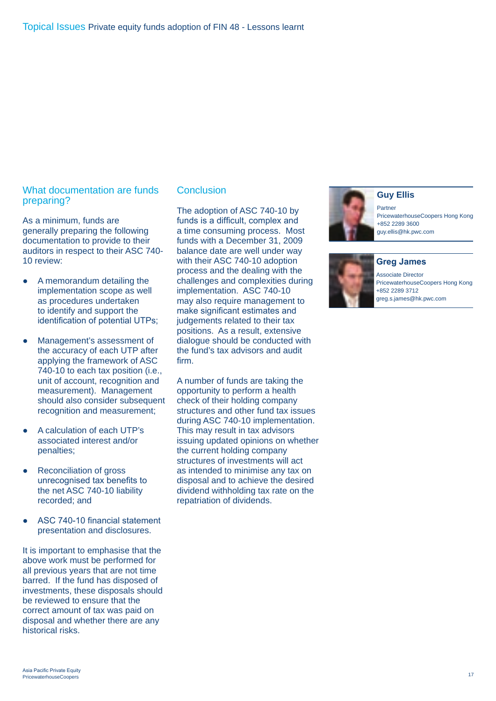## What documentation are funds preparing?

As a minimum, funds are generally preparing the following documentation to provide to their auditors in respect to their ASC 740- 10 review:

- A memorandum detailing the implementation scope as well as procedures undertaken to identify and support the identification of potential UTPs;
- Management's assessment of the accuracy of each UTP after applying the framework of ASC 740-10 to each tax position (i.e., unit of account, recognition and measurement). Management should also consider subsequent recognition and measurement;
- A calculation of each UTP's associated interest and/or penalties;
- Reconciliation of gross unrecognised tax benefits to the net ASC 740-10 liability recorded; and
- ASC 740-10 financial statement presentation and disclosures.

It is important to emphasise that the above work must be performed for all previous years that are not time barred. If the fund has disposed of investments, these disposals should be reviewed to ensure that the correct amount of tax was paid on disposal and whether there are any historical risks.

## **Conclusion**

The adoption of ASC 740-10 by funds is a difficult, complex and a time consuming process. Most funds with a December 31, 2009 balance date are well under way with their ASC 740-10 adoption process and the dealing with the challenges and complexities during implementation. ASC 740-10 may also require management to make significant estimates and judgements related to their tax positions. As a result, extensive dialogue should be conducted with the fund's tax advisors and audit firm.

A number of funds are taking the opportunity to perform a health check of their holding company structures and other fund tax issues during ASC 740-10 implementation. This may result in tax advisors issuing updated opinions on whether the current holding company structures of investments will act as intended to minimise any tax on disposal and to achieve the desired dividend withholding tax rate on the repatriation of dividends.



### **Guy Ellis**

Partner PricewaterhouseCoopers Hong Kong +852 2289 3600 guy.ellis@hk.pwc.com



**Greg James**

Associate Director PricewaterhouseCoopers Hong Kong +852 2289 3712 greg.s.james@hk.pwc.com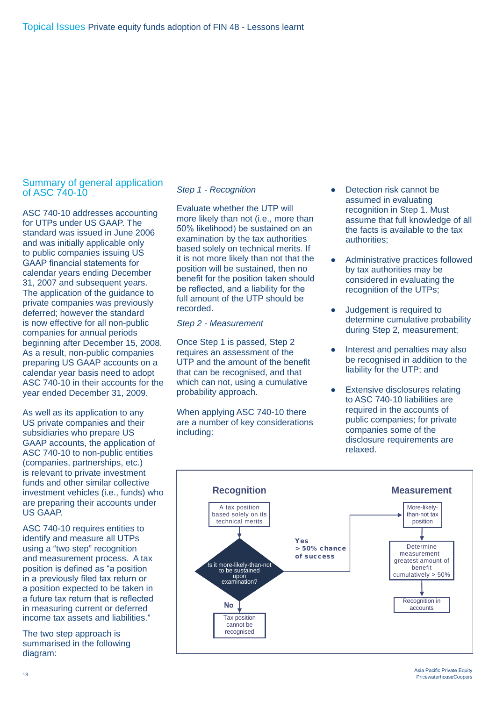## Summary of general application of ASC 740-10

ASC 740-10 addresses accounting for UTPs under US GAAP. The standard was issued in June 2006 and was initially applicable only to public companies issuing US GAAP financial statements for calendar years ending December 31, 2007 and subsequent years. The application of the guidance to private companies was previously deferred; however the standard is now effective for all non-public companies for annual periods beginning after December 15, 2008. As a result, non-public companies preparing US GAAP accounts on a calendar year basis need to adopt ASC 740-10 in their accounts for the year ended December 31, 2009.

As well as its application to any US private companies and their subsidiaries who prepare US GAAP accounts, the application of ASC 740-10 to non-public entities (companies, partnerships, etc.) is relevant to private investment funds and other similar collective investment vehicles (i.e., funds) who are preparing their accounts under US GAAP.

ASC 740-10 requires entities to identify and measure all UTPs using a "two step" recognition and measurement process. A tax position is defined as "a position in a previously filed tax return or a position expected to be taken in a future tax return that is reflected in measuring current or deferred income tax assets and liabilities."

The two step approach is summarised in the following diagram:

### *Step 1 - Recognition*

Evaluate whether the UTP will more likely than not (i.e., more than 50% likelihood) be sustained on an examination by the tax authorities based solely on technical merits. If it is not more likely than not that the position will be sustained, then no benefit for the position taken should be reflected, and a liability for the full amount of the UTP should be recorded.

## *Step 2 - Measurement*

Once Step 1 is passed, Step 2 requires an assessment of the UTP and the amount of the benefit that can be recognised, and that which can not, using a cumulative probability approach.

When applying ASC 740-10 there are a number of key considerations including:

- Detection risk cannot be assumed in evaluating recognition in Step 1. Must assume that full knowledge of all the facts is available to the tax authorities;
- Administrative practices followed by tax authorities may be considered in evaluating the recognition of the UTPs;
- Judgement is required to determine cumulative probability during Step 2, measurement;
- Interest and penalties may also be recognised in addition to the liability for the UTP; and
- **Extensive disclosures relating** to ASC 740-10 liabilities are required in the accounts of public companies; for private companies some of the disclosure requirements are relaxed.

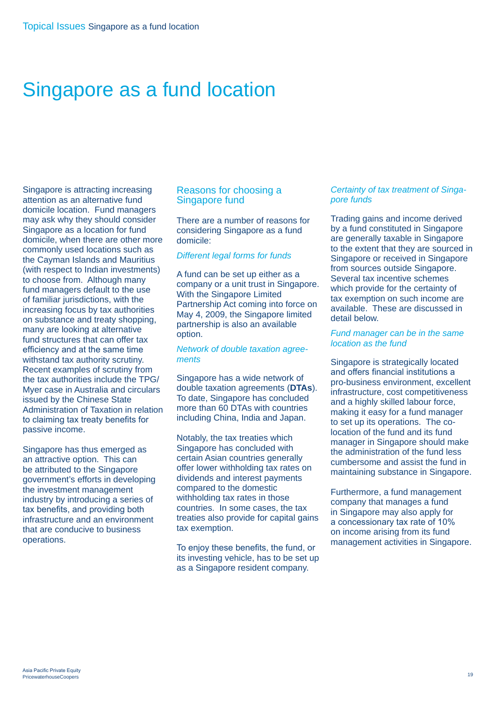## Singapore as a fund location

Singapore is attracting increasing attention as an alternative fund domicile location. Fund managers may ask why they should consider Singapore as a location for fund domicile, when there are other more commonly used locations such as the Cayman Islands and Mauritius (with respect to Indian investments) to choose from. Although many fund managers default to the use of familiar jurisdictions, with the increasing focus by tax authorities on substance and treaty shopping, many are looking at alternative fund structures that can offer tax efficiency and at the same time withstand tax authority scrutiny. Recent examples of scrutiny from the tax authorities include the TPG/ Myer case in Australia and circulars issued by the Chinese State Administration of Taxation in relation to claiming tax treaty benefits for passive income.

Singapore has thus emerged as an attractive option. This can be attributed to the Singapore government's efforts in developing the investment management industry by introducing a series of tax benefits, and providing both infrastructure and an environment that are conducive to business operations.

## Reasons for choosing a Singapore fund

There are a number of reasons for considering Singapore as a fund domicile:

### *Different legal forms for funds*

A fund can be set up either as a company or a unit trust in Singapore. With the Singapore Limited Partnership Act coming into force on May 4, 2009, the Singapore limited partnership is also an available option.

### *Network of double taxation agreements*

Singapore has a wide network of double taxation agreements (**DTAs**). To date, Singapore has concluded more than 60 DTAs with countries including China, India and Japan.

Notably, the tax treaties which Singapore has concluded with certain Asian countries generally offer lower withholding tax rates on dividends and interest payments compared to the domestic withholding tax rates in those countries. In some cases, the tax treaties also provide for capital gains tax exemption.

To enjoy these benefits, the fund, or its investing vehicle, has to be set up as a Singapore resident company.

### *Certainty of tax treatment of Singapore funds*

Trading gains and income derived by a fund constituted in Singapore are generally taxable in Singapore to the extent that they are sourced in Singapore or received in Singapore from sources outside Singapore. Several tax incentive schemes which provide for the certainty of tax exemption on such income are available. These are discussed in detail below.

### *Fund manager can be in the same location as the fund*

Singapore is strategically located and offers financial institutions a pro-business environment, excellent infrastructure, cost competitiveness and a highly skilled labour force, making it easy for a fund manager to set up its operations. The colocation of the fund and its fund manager in Singapore should make the administration of the fund less cumbersome and assist the fund in maintaining substance in Singapore.

Furthermore, a fund management company that manages a fund in Singapore may also apply for a concessionary tax rate of 10% on income arising from its fund management activities in Singapore.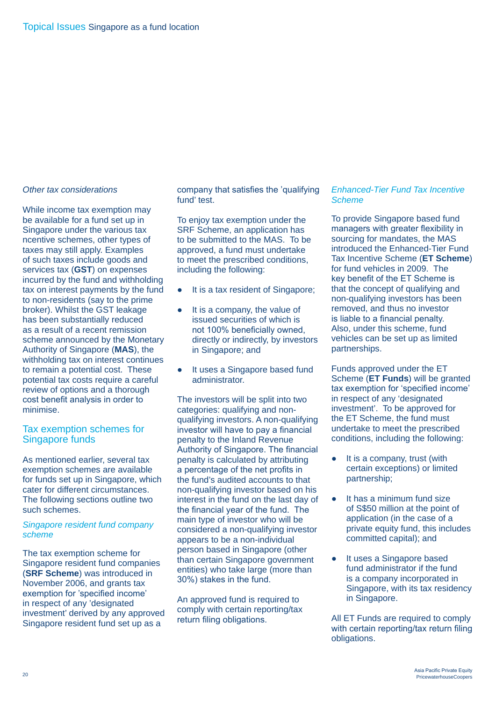### *Other tax considerations*

While income tax exemption may be available for a fund set up in Singapore under the various tax ncentive schemes, other types of taxes may still apply. Examples of such taxes include goods and services tax (**GST**) on expenses incurred by the fund and withholding tax on interest payments by the fund to non-residents (say to the prime broker). Whilst the GST leakage has been substantially reduced as a result of a recent remission scheme announced by the Monetary Authority of Singapore (**MAS**), the withholding tax on interest continues to remain a potential cost. These potential tax costs require a careful review of options and a thorough cost benefit analysis in order to minimise.

## Tax exemption schemes for Singapore funds

As mentioned earlier, several tax exemption schemes are available for funds set up in Singapore, which cater for different circumstances. The following sections outline two such schemes.

## *Singapore resident fund company scheme*

The tax exemption scheme for Singapore resident fund companies (**SRF Scheme**) was introduced in November 2006, and grants tax exemption for 'specified income' in respect of any 'designated investment' derived by any approved Singapore resident fund set up as a

company that satisfies the 'qualifying fund' test.

To enjoy tax exemption under the SRF Scheme, an application has to be submitted to the MAS. To be approved, a fund must undertake to meet the prescribed conditions, including the following:

- It is a tax resident of Singapore;
- It is a company, the value of issued securities of which is not 100% beneficially owned, directly or indirectly, by investors in Singapore; and
- It uses a Singapore based fund administrator.

The investors will be split into two categories: qualifying and nonqualifying investors. A non-qualifying investor will have to pay a financial penalty to the Inland Revenue Authority of Singapore. The financial penalty is calculated by attributing a percentage of the net profits in the fund's audited accounts to that non-qualifying investor based on his interest in the fund on the last day of the financial year of the fund. The main type of investor who will be considered a non-qualifying investor appears to be a non-individual person based in Singapore (other than certain Singapore government entities) who take large (more than 30%) stakes in the fund.

An approved fund is required to comply with certain reporting/tax return filing obligations.

## *Enhanced-Tier Fund Tax Incentive Scheme*

To provide Singapore based fund managers with greater flexibility in sourcing for mandates, the MAS introduced the Enhanced-Tier Fund Tax Incentive Scheme (**ET Scheme**) for fund vehicles in 2009. The key benefit of the ET Scheme is that the concept of qualifying and non-qualifying investors has been removed, and thus no investor is liable to a financial penalty. Also, under this scheme, fund vehicles can be set up as limited partnerships.

Funds approved under the ET Scheme (**ET Funds**) will be granted tax exemption for 'specified income' in respect of any 'designated investment'. To be approved for the ET Scheme, the fund must undertake to meet the prescribed conditions, including the following:

- It is a company, trust (with certain exceptions) or limited partnership;
- It has a minimum fund size of S\$50 million at the point of application (in the case of a private equity fund, this includes committed capital); and
- It uses a Singapore based fund administrator if the fund is a company incorporated in Singapore, with its tax residency in Singapore.

All ET Funds are required to comply with certain reporting/tax return filing obligations.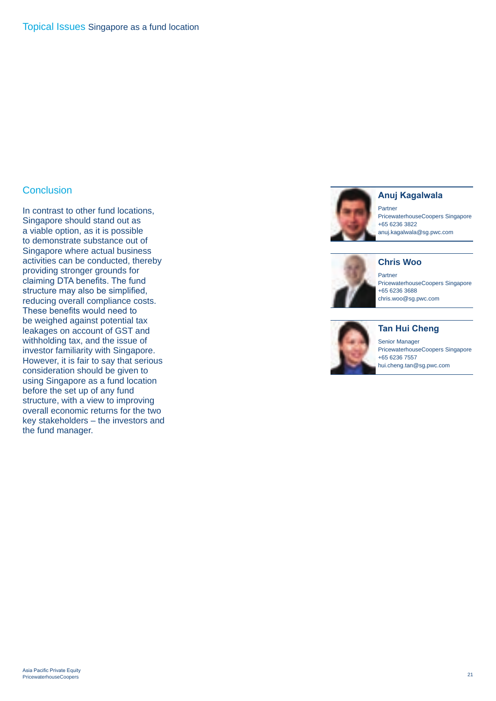## **Conclusion**

In contrast to other fund locations, Singapore should stand out as a viable option, as it is possible to demonstrate substance out of Singapore where actual business activities can be conducted, thereby providing stronger grounds for claiming DTA benefits. The fund structure may also be simplified, reducing overall compliance costs. These benefits would need to be weighed against potential tax leakages on account of GST and withholding tax, and the issue of investor familiarity with Singapore. However, it is fair to say that serious consideration should be given to using Singapore as a fund location before the set up of any fund structure, with a view to improving overall economic returns for the two key stakeholders – the investors and the fund manager.



## **Anuj Kagalwala**

Partner PricewaterhouseCoopers Singapore +65 6236 3822 anuj.kagalwala@sg.pwc.com



Partner PricewaterhouseCoopers Singapore +65 6236 3688 chris.woo@sg.pwc.com



#### Senior Manager PricewaterhouseCoopers Singapore +65 6236 7557

hui.cheng.tan@sg.pwc.com

**Tan Hui Cheng**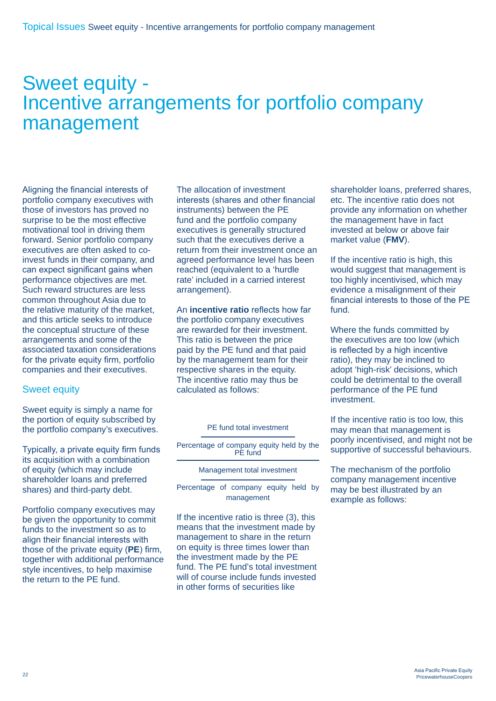## Sweet equity - Incentive arrangements for portfolio company management

Aligning the financial interests of portfolio company executives with those of investors has proved no surprise to be the most effective motivational tool in driving them forward. Senior portfolio company executives are often asked to coinvest funds in their company, and can expect significant gains when performance objectives are met. Such reward structures are less common throughout Asia due to the relative maturity of the market, and this article seeks to introduce the conceptual structure of these arrangements and some of the associated taxation considerations for the private equity firm, portfolio companies and their executives.

## Sweet equity

Sweet equity is simply a name for the portion of equity subscribed by the portfolio company's executives.

Typically, a private equity firm funds its acquisition with a combination of equity (which may include shareholder loans and preferred shares) and third-party debt.

Portfolio company executives may be given the opportunity to commit funds to the investment so as to align their financial interests with those of the private equity (**PE**) firm, together with additional performance style incentives, to help maximise the return to the PE fund.

The allocation of investment interests (shares and other financial instruments) between the PE fund and the portfolio company executives is generally structured such that the executives derive a return from their investment once an agreed performance level has been reached (equivalent to a 'hurdle rate' included in a carried interest arrangement).

An **incentive ratio** reflects how far the portfolio company executives are rewarded for their investment. This ratio is between the price paid by the PE fund and that paid by the management team for their respective shares in the equity. The incentive ratio may thus be calculated as follows:

|  | <b>PE</b> fund total investment |
|--|---------------------------------|
|  |                                 |

Percentage of company equity held by the PE fund

Management total investment

Percentage of company equity held by management

If the incentive ratio is three (3), this means that the investment made by management to share in the return on equity is three times lower than the investment made by the PE fund. The PE fund's total investment will of course include funds invested in other forms of securities like

shareholder loans, preferred shares, etc. The incentive ratio does not provide any information on whether the management have in fact invested at below or above fair market value (**FMV**).

If the incentive ratio is high, this would suggest that management is too highly incentivised, which may evidence a misalignment of their financial interests to those of the PE fund.

Where the funds committed by the executives are too low (which is reflected by a high incentive ratio), they may be inclined to adopt 'high-risk' decisions, which could be detrimental to the overall performance of the PE fund investment.

If the incentive ratio is too low, this may mean that management is poorly incentivised, and might not be supportive of successful behaviours.

The mechanism of the portfolio company management incentive may be best illustrated by an example as follows: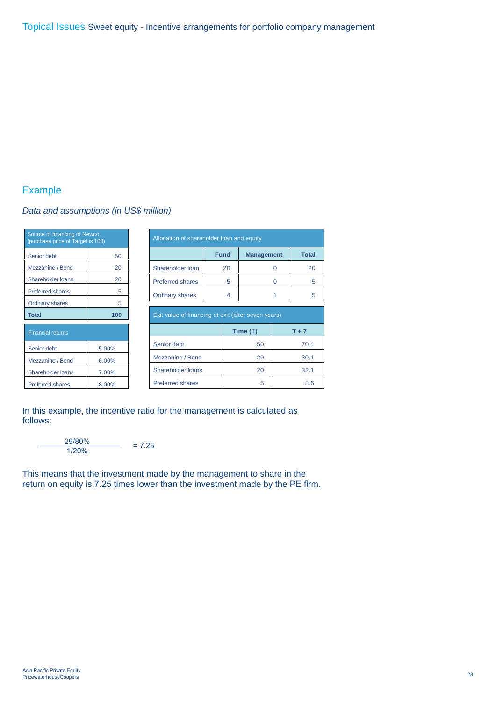## Example

## *Data and assumptions (in US\$ million)*

| Source of financing of Newco<br>(purchase price of Target is 100) | Allocation of shareholder loan and equity |                                                     |             |                   |          |              |   |  |
|-------------------------------------------------------------------|-------------------------------------------|-----------------------------------------------------|-------------|-------------------|----------|--------------|---|--|
| Senior debt                                                       | 50                                        |                                                     | <b>Fund</b> | <b>Management</b> |          | <b>Total</b> |   |  |
| Mezzanine / Bond                                                  | 20                                        | Shareholder loan                                    | 20          |                   | $\Omega$ | 20           |   |  |
| Shareholder loans                                                 | 20                                        | <b>Preferred shares</b>                             |             | 5                 |          | $\Omega$     | 5 |  |
| <b>Preferred shares</b>                                           | 5                                         | <b>Ordinary shares</b>                              |             | 4                 |          |              | 5 |  |
| <b>Ordinary shares</b>                                            | 5                                         |                                                     |             |                   |          |              |   |  |
| <b>Total</b>                                                      | 100                                       | Exit value of financing at exit (after seven years) |             |                   |          |              |   |  |
| <b>Financial returns</b>                                          |                                           |                                                     |             | Time $(T)$        | $T + 7$  |              |   |  |
| Senior debt                                                       | 5.00%                                     | Senior debt                                         |             | 50                | 70.4     |              |   |  |
| Mezzanine / Bond                                                  | 6.00%                                     | Mezzanine / Bond                                    |             | 20                | 30.1     |              |   |  |
| Shareholder loans                                                 | 7.00%                                     | Shareholder loans                                   |             | 20                |          | 32.1         |   |  |
| <b>Preferred shares</b>                                           | 8.00%                                     | <b>Preferred shares</b>                             |             | 5                 |          | 8.6          |   |  |

In this example, the incentive ratio for the management is calculated as follows:

 $\frac{29/80\%}{1/20\%}$  = 7.25

This means that the investment made by the management to share in the return on equity is 7.25 times lower than the investment made by the PE firm.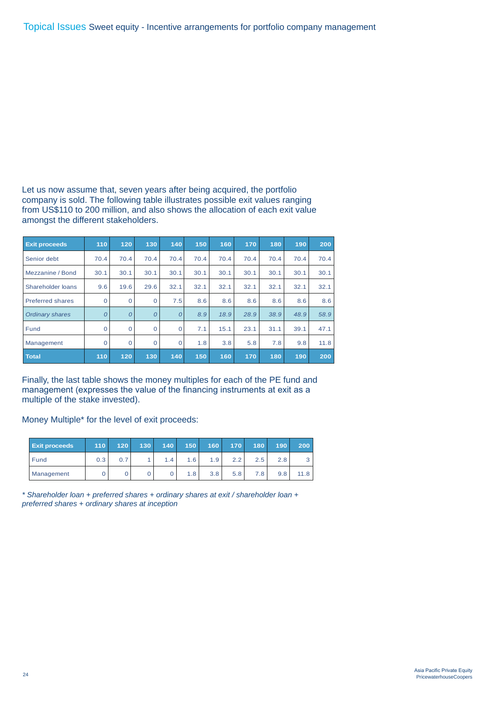Let us now assume that, seven years after being acquired, the portfolio company is sold. The following table illustrates possible exit values ranging from US\$110 to 200 million, and also shows the allocation of each exit value amongst the different stakeholders.

| <b>Exit proceeds</b>    | 110      | 120      | 130      | 140         | 150  | 160  | 170  | 180  | 190  | 200  |
|-------------------------|----------|----------|----------|-------------|------|------|------|------|------|------|
| Senior debt             | 70.4     | 70.4     | 70.4     | 70.4        | 70.4 | 70.4 | 70.4 | 70.4 | 70.4 | 70.4 |
| Mezzanine / Bond        | 30.1     | 30.1     | 30.1     | 30.1        | 30.1 | 30.1 | 30.1 | 30.1 | 30.1 | 30.1 |
| Shareholder loans       | 9.6      | 19.6     | 29.6     | 32.1        | 32.1 | 32.1 | 32.1 | 32.1 | 32.1 | 32.1 |
| <b>Preferred shares</b> | $\Omega$ | $\Omega$ | 0        | 7.5         | 8.6  | 8.6  | 8.6  | 8.6  | 8.6  | 8.6  |
| <b>Ordinary shares</b>  | $\Omega$ | $\Omega$ | $\Omega$ | $\Omega$    | 8.9  | 18.9 | 28.9 | 38.9 | 48.9 | 58.9 |
| Fund                    | $\Omega$ | $\Omega$ | $\Omega$ | $\mathbf 0$ | 7.1  | 15.1 | 23.1 | 31.1 | 39.1 | 47.1 |
| Management              | $\Omega$ | $\Omega$ | $\Omega$ | $\Omega$    | 1.8  | 3.8  | 5.8  | 7.8  | 9.8  | 11.8 |
| <b>Total</b>            | 110      | 120      | 130      | 140         | 150  | 160  | 170  | 180  | 190  | 200  |

Finally, the last table shows the money multiples for each of the PE fund and management (expresses the value of the financing instruments at exit as a multiple of the stake invested).

Money Multiple\* for the level of exit proceeds:

| <b>Exit proceeds</b> | 110 <sub>1</sub> | 120 <sub>1</sub> | 130 <sup>°</sup> | 140 | 150              | 160 | 170 | 180  | 190 | 200  |
|----------------------|------------------|------------------|------------------|-----|------------------|-----|-----|------|-----|------|
| Fund                 | 0.3              | 0.7              |                  | 1.4 | 1.6              | 1.9 | 2.2 | 2.5  | 2.8 |      |
| Management           |                  |                  |                  |     | 1.8 <sup>1</sup> | 3.8 | 5.8 | 7.8. | 9.8 | 11.8 |

*\* Shareholder loan + preferred shares + ordinary shares at exit / shareholder loan + preferred shares + ordinary shares at inception*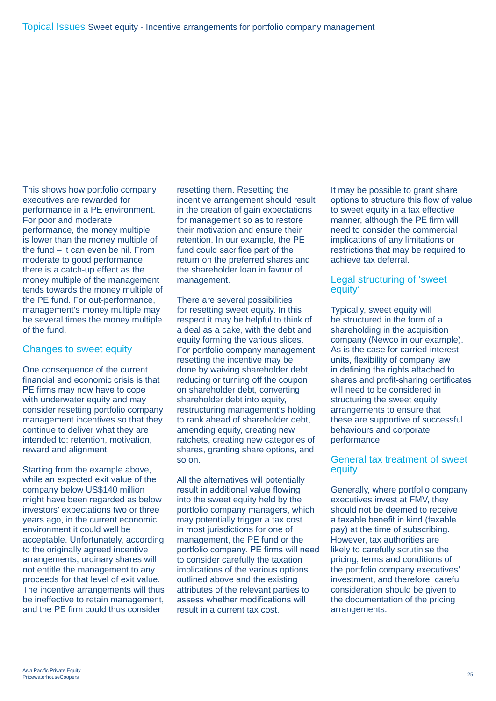This shows how portfolio company executives are rewarded for performance in a PE environment. For poor and moderate performance, the money multiple is lower than the money multiple of the fund – it can even be nil. From moderate to good performance, there is a catch-up effect as the money multiple of the management tends towards the money multiple of the PE fund. For out-performance, management's money multiple may be several times the money multiple of the fund.

## Changes to sweet equity

One consequence of the current financial and economic crisis is that PE firms may now have to cope with underwater equity and may consider resetting portfolio company management incentives so that they continue to deliver what they are intended to: retention, motivation, reward and alignment.

Starting from the example above, while an expected exit value of the company below US\$140 million might have been regarded as below investors' expectations two or three years ago, in the current economic environment it could well be acceptable. Unfortunately, according to the originally agreed incentive arrangements, ordinary shares will not entitle the management to any proceeds for that level of exit value. The incentive arrangements will thus be ineffective to retain management, and the PE firm could thus consider

resetting them. Resetting the incentive arrangement should result in the creation of gain expectations for management so as to restore their motivation and ensure their retention. In our example, the PE fund could sacrifice part of the return on the preferred shares and the shareholder loan in favour of management.

There are several possibilities for resetting sweet equity. In this respect it may be helpful to think of a deal as a cake, with the debt and equity forming the various slices. For portfolio company management, resetting the incentive may be done by waiving shareholder debt, reducing or turning off the coupon on shareholder debt, converting shareholder debt into equity. restructuring management's holding to rank ahead of shareholder debt, amending equity, creating new ratchets, creating new categories of shares, granting share options, and so on.

All the alternatives will potentially result in additional value flowing into the sweet equity held by the portfolio company managers, which may potentially trigger a tax cost in most jurisdictions for one of management, the PE fund or the portfolio company. PE firms will need to consider carefully the taxation implications of the various options outlined above and the existing attributes of the relevant parties to assess whether modifications will result in a current tax cost.

It may be possible to grant share options to structure this flow of value to sweet equity in a tax effective manner, although the PE firm will need to consider the commercial implications of any limitations or restrictions that may be required to achieve tax deferral.

## Legal structuring of 'sweet equity'

Typically, sweet equity will be structured in the form of a shareholding in the acquisition company (Newco in our example). As is the case for carried-interest units, flexibility of company law in defining the rights attached to shares and profit-sharing certificates will need to be considered in structuring the sweet equity arrangements to ensure that these are supportive of successful behaviours and corporate performance.

## General tax treatment of sweet **equity**

Generally, where portfolio company executives invest at FMV, they should not be deemed to receive a taxable benefit in kind (taxable pay) at the time of subscribing. However, tax authorities are likely to carefully scrutinise the pricing, terms and conditions of the portfolio company executives' investment, and therefore, careful consideration should be given to the documentation of the pricing arrangements.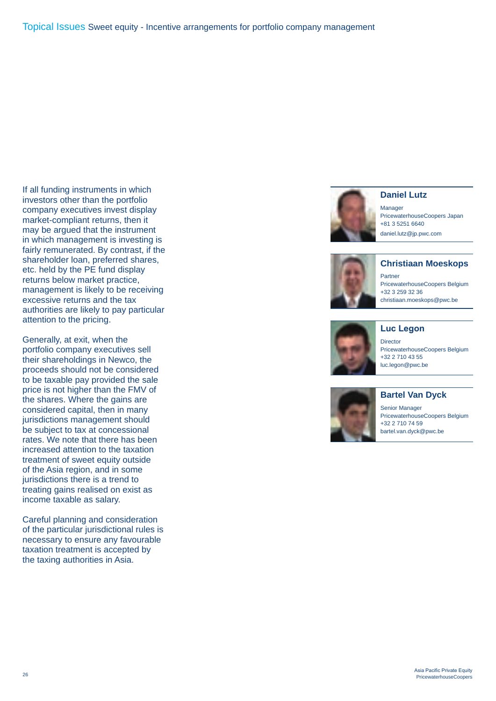If all funding instruments in which investors other than the portfolio company executives invest display market-compliant returns, then it may be argued that the instrument in which management is investing is fairly remunerated. By contrast, if the shareholder loan, preferred shares, etc. held by the PE fund display returns below market practice, management is likely to be receiving excessive returns and the tax authorities are likely to pay particular attention to the pricing.

Generally, at exit, when the portfolio company executives sell their shareholdings in Newco, the proceeds should not be considered to be taxable pay provided the sale price is not higher than the FMV of the shares. Where the gains are considered capital, then in many jurisdictions management should be subject to tax at concessional rates. We note that there has been increased attention to the taxation treatment of sweet equity outside of the Asia region, and in some jurisdictions there is a trend to treating gains realised on exist as income taxable as salary.

Careful planning and consideration of the particular jurisdictional rules is necessary to ensure any favourable taxation treatment is accepted by the taxing authorities in Asia.





Manager PricewaterhouseCoopers Japan +81 3 5251 6640 daniel.lutz@jp.pwc.com



**Christiaan Moeskops**

Partner PricewaterhouseCoopers Belgium +32 3 259 32 36 christiaan.moeskops@pwc.be



**Director** 

**Luc Legon**

PricewaterhouseCoopers Belgium +32 2 710 43 55 luc.legon@pwc.be



## **Bartel Van Dyck**

Senior Manager PricewaterhouseCoopers Belgium +32 2 710 74 59 bartel.van.dyck@pwc.be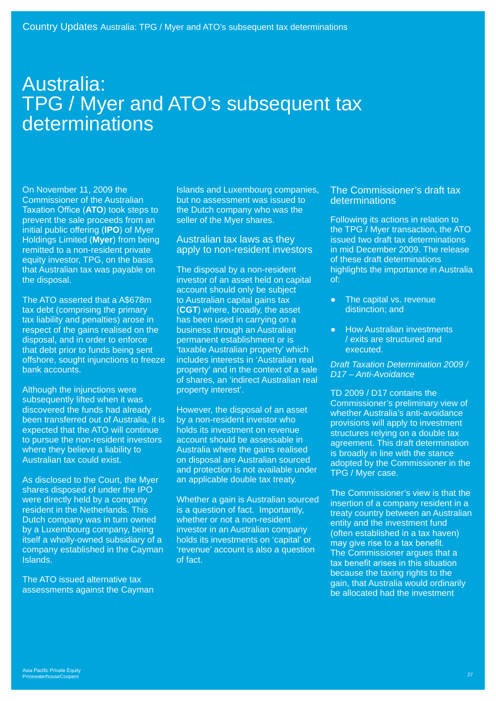## Australia: TPG / Myer and ATO's subsequent tax determinations

On November 11, 2009 the Commissioner of the Australian Taxation Office (**ATO**) took steps to prevent the sale proceeds from an initial public offering (**IPO**) of Myer Holdings Limited (**Myer**) from being remitted to a non-resident private equity investor, TPG, on the basis that Australian tax was payable on the disposal.

The ATO asserted that a A\$678m tax debt (comprising the primary tax liability and penalties) arose in respect of the gains realised on the disposal, and in order to enforce that debt prior to funds being sent offshore, sought injunctions to freeze bank accounts.

Although the injunctions were subsequently lifted when it was discovered the funds had already been transferred out of Australia, it is expected that the ATO will continue to pursue the non-resident investors where they believe a liability to Australian tax could exist.

As disclosed to the Court, the Myer shares disposed of under the IPO were directly held by a company resident in the Netherlands. This Dutch company was in turn owned by a Luxembourg company, being itself a wholly-owned subsidiary of a company established in the Cayman Islands.

The ATO issued alternative tax assessments against the Cayman Islands and Luxembourg companies, but no assessment was issued to the Dutch company who was the seller of the Myer shares.

## Australian tax laws as they apply to non-resident investors

The disposal by a non-resident investor of an asset held on capital account should only be subject to Australian capital gains tax (**CGT**) where, broadly, the asset has been used in carrying on a business through an Australian permanent establishment or is 'taxable Australian property' which includes interests in 'Australian real property' and in the context of a sale of shares, an 'indirect Australian real property interest'.

However, the disposal of an asset by a non-resident investor who holds its investment on revenue account should be assessable in Australia where the gains realised on disposal are Australian sourced and protection is not available under an applicable double tax treaty.

Whether a gain is Australian sourced is a question of fact. Importantly, whether or not a non-resident investor in an Australian company holds its investments on 'capital' or 'revenue' account is also a question of fact.

## The Commissioner's draft tax determinations

Following its actions in relation to the TPG / Myer transaction, the ATO issued two draft tax determinations in mid December 2009. The release of these draft determinations highlights the importance in Australia of:

- The capital vs. revenue distinction; and
- **How Australian investments** / exits are structured and executed.

*Draft Taxation Determination 2009 / D17 – Anti-Avoidance*

TD 2009 / D17 contains the Commissioner's preliminary view of whether Australia's anti-avoidance provisions will apply to investment structures relying on a double tax agreement. This draft determination is broadly in line with the stance adopted by the Commissioner in the TPG / Myer case.

The Commissioner's view is that the insertion of a company resident in a treaty country between an Australian entity and the investment fund (often established in a tax haven) may give rise to a tax benefit. The Commissioner argues that a tax benefit arises in this situation because the taxing rights to the gain, that Australia would ordinarily be allocated had the investment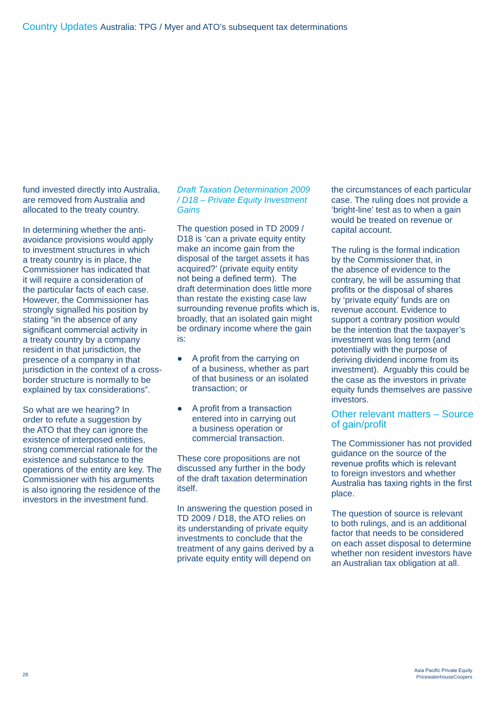fund invested directly into Australia, are removed from Australia and allocated to the treaty country.

In determining whether the antiavoidance provisions would apply to investment structures in which a treaty country is in place, the Commissioner has indicated that it will require a consideration of the particular facts of each case. However, the Commissioner has strongly signalled his position by stating "in the absence of any significant commercial activity in a treaty country by a company resident in that jurisdiction, the presence of a company in that jurisdiction in the context of a crossborder structure is normally to be explained by tax considerations".

So what are we hearing? In order to refute a suggestion by the ATO that they can ignore the existence of interposed entities, strong commercial rationale for the existence and substance to the operations of the entity are key. The Commissioner with his arguments is also ignoring the residence of the investors in the investment fund.

## *Draft Taxation Determination 2009 / D18 – Private Equity Investment Gains*

The question posed in TD 2009 / D18 is 'can a private equity entity make an income gain from the disposal of the target assets it has acquired?' (private equity entity not being a defined term). The draft determination does little more than restate the existing case law surrounding revenue profits which is, broadly, that an isolated gain might be ordinary income where the gain is:

- A profit from the carrying on of a business, whether as part of that business or an isolated transaction; or
- A profit from a transaction entered into in carrying out a business operation or commercial transaction.

These core propositions are not discussed any further in the body of the draft taxation determination itself.

In answering the question posed in TD 2009 / D18, the ATO relies on its understanding of private equity investments to conclude that the treatment of any gains derived by a private equity entity will depend on

the circumstances of each particular case. The ruling does not provide a 'bright-line' test as to when a gain would be treated on revenue or capital account.

The ruling is the formal indication by the Commissioner that, in the absence of evidence to the contrary, he will be assuming that profits or the disposal of shares by 'private equity' funds are on revenue account. Evidence to support a contrary position would be the intention that the taxpayer's investment was long term (and potentially with the purpose of deriving dividend income from its investment). Arguably this could be the case as the investors in private equity funds themselves are passive investors.

## Other relevant matters – Source of gain/profit

The Commissioner has not provided guidance on the source of the revenue profits which is relevant to foreign investors and whether Australia has taxing rights in the first place.

The question of source is relevant to both rulings, and is an additional factor that needs to be considered on each asset disposal to determine whether non resident investors have an Australian tax obligation at all.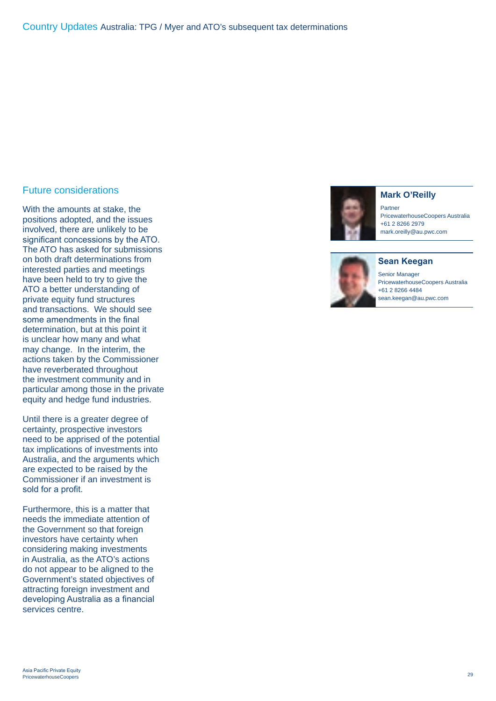## Future considerations

With the amounts at stake, the positions adopted, and the issues involved, there are unlikely to be significant concessions by the ATO. The ATO has asked for submissions on both draft determinations from interested parties and meetings have been held to try to give the ATO a better understanding of private equity fund structures and transactions. We should see some amendments in the final determination, but at this point it is unclear how many and what may change. In the interim, the actions taken by the Commissioner have reverberated throughout the investment community and in particular among those in the private equity and hedge fund industries.

Until there is a greater degree of certainty, prospective investors need to be apprised of the potential tax implications of investments into Australia, and the arguments which are expected to be raised by the Commissioner if an investment is sold for a profit.

Furthermore, this is a matter that needs the immediate attention of the Government so that foreign investors have certainty when considering making investments in Australia, as the ATO's actions do not appear to be aligned to the Government's stated objectives of attracting foreign investment and developing Australia as a financial services centre.



**Mark O'Reilly**

Partner PricewaterhouseCoopers Australia +61 2 8266 2979 mark.oreilly@au.pwc.com



Senior Manager PricewaterhouseCoopers Australia +61 2 8266 4484

sean.keegan@au.pwc.com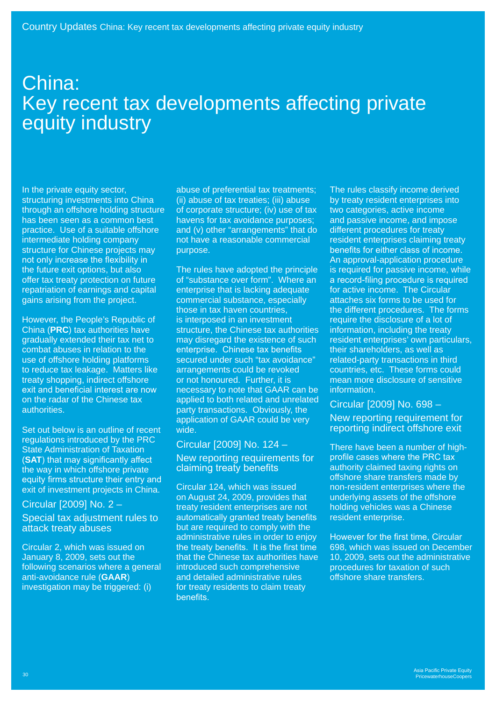## China: Key recent tax developments affecting private equity industry

In the private equity sector, structuring investments into China through an offshore holding structure has been seen as a common best practice. Use of a suitable offshore intermediate holding company structure for Chinese projects may not only increase the flexibility in the future exit options, but also offer tax treaty protection on future repatriation of earnings and capital gains arising from the project.

However, the People's Republic of China (**PRC**) tax authorities have gradually extended their tax net to combat abuses in relation to the use of offshore holding platforms to reduce tax leakage. Matters like treaty shopping, indirect offshore exit and beneficial interest are now on the radar of the Chinese tax authorities.

Set out below is an outline of recent regulations introduced by the PRC State Administration of Taxation (**SAT**) that may significantly affect the way in which offshore private equity firms structure their entry and exit of investment projects in China.

## Circular [2009] No. 2 –

Special tax adjustment rules to attack treaty abuses

Circular 2, which was issued on January 8, 2009, sets out the following scenarios where a general anti-avoidance rule (**GAAR**) investigation may be triggered: (i)

abuse of preferential tax treatments; (ii) abuse of tax treaties; (iii) abuse of corporate structure; (iv) use of tax havens for tax avoidance purposes; and (v) other "arrangements" that do not have a reasonable commercial purpose.

The rules have adopted the principle of "substance over form". Where an enterprise that is lacking adequate commercial substance, especially those in tax haven countries, is interposed in an investment structure, the Chinese tax authorities may disregard the existence of such enterprise. Chinese tax benefits secured under such "tax avoidance" arrangements could be revoked or not honoured. Further, it is necessary to note that GAAR can be applied to both related and unrelated party transactions. Obviously, the application of GAAR could be very wide.

## Circular [2009] No. 124 –

New reporting requirements for claiming treaty benefits

Circular 124, which was issued on August 24, 2009, provides that treaty resident enterprises are not automatically granted treaty benefits but are required to comply with the administrative rules in order to enjoy the treaty benefits. It is the first time that the Chinese tax authorities have introduced such comprehensive and detailed administrative rules for treaty residents to claim treaty benefits.

The rules classify income derived by treaty resident enterprises into two categories, active income and passive income, and impose different procedures for treaty resident enterprises claiming treaty benefits for either class of income. An approval-application procedure is required for passive income, while a record-filing procedure is required for active income. The Circular attaches six forms to be used for the different procedures. The forms require the disclosure of a lot of information, including the treaty resident enterprises' own particulars, their shareholders, as well as related-party transactions in third countries, etc. These forms could mean more disclosure of sensitive information.

## Circular [2009] No. 698 –

New reporting requirement for reporting indirect offshore exit

There have been a number of highprofile cases where the PRC tax authority claimed taxing rights on offshore share transfers made by non-resident enterprises where the underlying assets of the offshore holding vehicles was a Chinese resident enterprise.

However for the first time, Circular 698, which was issued on December 10, 2009, sets out the administrative procedures for taxation of such offshore share transfers.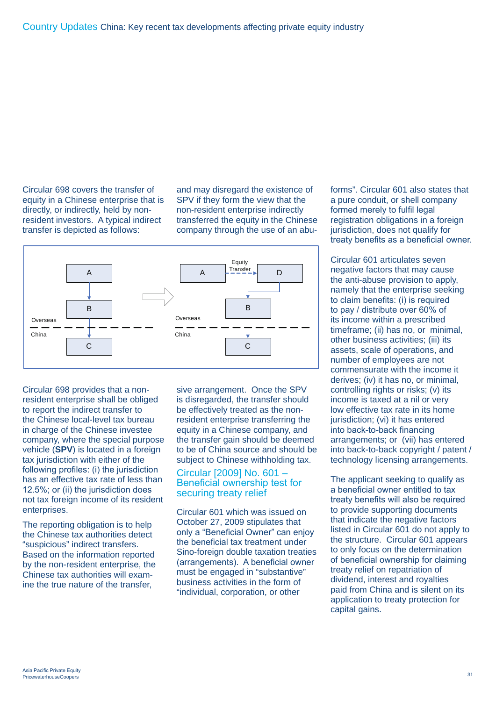Circular 698 covers the transfer of equity in a Chinese enterprise that is directly, or indirectly, held by nonresident investors. A typical indirect transfer is depicted as follows:

and may disregard the existence of SPV if they form the view that the non-resident enterprise indirectly transferred the equity in the Chinese company through the use of an abu-



Circular 698 provides that a nonresident enterprise shall be obliged to report the indirect transfer to the Chinese local-level tax bureau in charge of the Chinese investee company, where the special purpose vehicle (**SPV**) is located in a foreign tax jurisdiction with either of the following profiles: (i) the jurisdiction has an effective tax rate of less than 12.5%; or (ii) the jurisdiction does not tax foreign income of its resident enterprises.

The reporting obligation is to help the Chinese tax authorities detect "suspicious" indirect transfers. Based on the information reported by the non-resident enterprise, the Chinese tax authorities will examine the true nature of the transfer,

sive arrangement. Once the SPV is disregarded, the transfer should be effectively treated as the nonresident enterprise transferring the equity in a Chinese company, and the transfer gain should be deemed to be of China source and should be subject to Chinese withholding tax.

## Circular [2009] No. 601 – Beneficial ownership test for securing treaty relief

Circular 601 which was issued on October 27, 2009 stipulates that only a "Beneficial Owner" can enjoy the beneficial tax treatment under Sino-foreign double taxation treaties (arrangements). A beneficial owner must be engaged in "substantive" business activities in the form of "individual, corporation, or other

forms". Circular 601 also states that a pure conduit, or shell company formed merely to fulfil legal registration obligations in a foreign jurisdiction, does not qualify for treaty benefits as a beneficial owner.

Circular 601 articulates seven negative factors that may cause the anti-abuse provision to apply, namely that the enterprise seeking to claim benefits: (i) is required to pay / distribute over 60% of its income within a prescribed timeframe; (ii) has no, or minimal, other business activities; (iii) its assets, scale of operations, and number of employees are not commensurate with the income it derives; (iv) it has no, or minimal, controlling rights or risks; (v) its income is taxed at a nil or very low effective tax rate in its home jurisdiction: (vi) it has entered into back-to-back financing arrangements; or (vii) has entered into back-to-back copyright / patent / technology licensing arrangements.

The applicant seeking to qualify as a beneficial owner entitled to tax treaty benefits will also be required to provide supporting documents that indicate the negative factors listed in Circular 601 do not apply to the structure. Circular 601 appears to only focus on the determination of beneficial ownership for claiming treaty relief on repatriation of dividend, interest and royalties paid from China and is silent on its application to treaty protection for capital gains.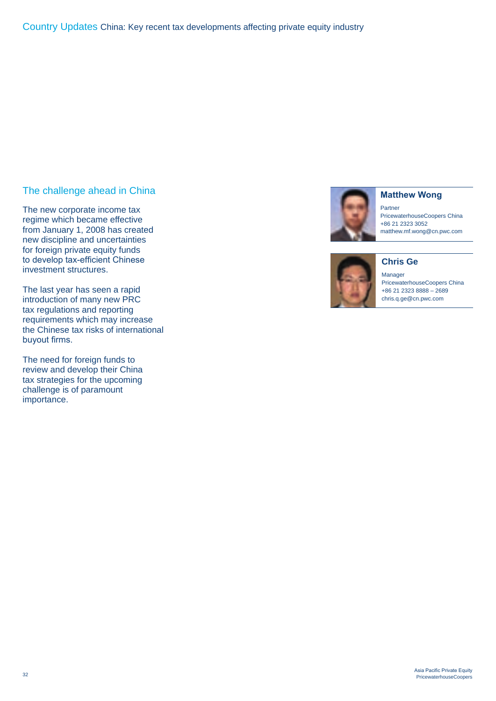## The challenge ahead in China

The new corporate income tax regime which became effective from January 1, 2008 has created new discipline and uncertainties for foreign private equity funds to develop tax-efficient Chinese investment structures.

The last year has seen a rapid introduction of many new PRC tax regulations and reporting requirements which may increase the Chinese tax risks of international buyout firms.

The need for foreign funds to review and develop their China tax strategies for the upcoming challenge is of paramount importance.



## **Matthew Wong**

**Chris Ge**

Partner PricewaterhouseCoopers China +86 21 2323 3052 matthew.mf.wong@cn.pwc.com



Manager PricewaterhouseCoopers China +86 21 2323 8888 – 2689 chris.q.ge@cn.pwc.com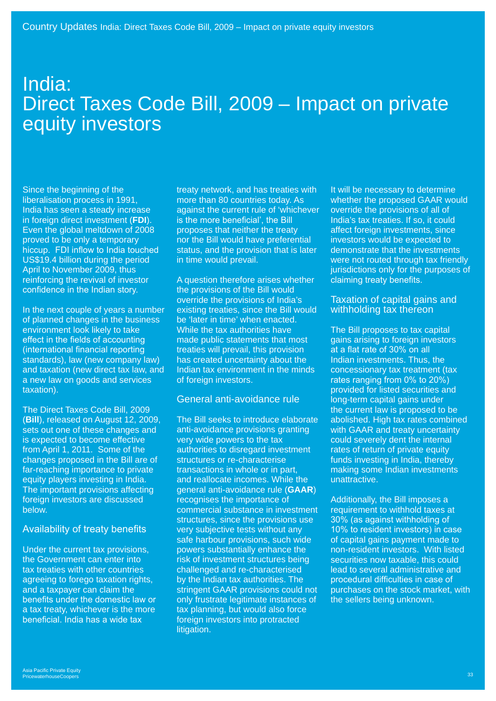## India: Direct Taxes Code Bill, 2009 – Impact on private equity investors

Since the beginning of the liberalisation process in 1991, India has seen a steady increase in foreign direct investment (**FDI**). Even the global meltdown of 2008 proved to be only a temporary hiccup. FDI inflow to India touched US\$19.4 billion during the period April to November 2009, thus reinforcing the revival of investor confidence in the Indian story.

In the next couple of years a number of planned changes in the business environment look likely to take effect in the fields of accounting (international financial reporting standards), law (new company law) and taxation (new direct tax law, and a new law on goods and services taxation).

The Direct Taxes Code Bill, 2009 (**Bill**), released on August 12, 2009, sets out one of these changes and is expected to become effective from April 1, 2011. Some of the changes proposed in the Bill are of far-reaching importance to private equity players investing in India. The important provisions affecting foreign investors are discussed below.

## Availability of treaty benefits

Under the current tax provisions, the Government can enter into tax treaties with other countries agreeing to forego taxation rights, and a taxpayer can claim the benefits under the domestic law or a tax treaty, whichever is the more beneficial. India has a wide tax

treaty network, and has treaties with more than 80 countries today. As against the current rule of 'whichever is the more beneficial', the Bill proposes that neither the treaty nor the Bill would have preferential status, and the provision that is later in time would prevail.

A question therefore arises whether the provisions of the Bill would override the provisions of India's existing treaties, since the Bill would be 'later in time' when enacted. While the tax authorities have made public statements that most treaties will prevail, this provision has created uncertainty about the Indian tax environment in the minds of foreign investors.

## General anti-avoidance rule

The Bill seeks to introduce elaborate anti-avoidance provisions granting very wide powers to the tax authorities to disregard investment structures or re-characterise transactions in whole or in part, and reallocate incomes. While the general anti-avoidance rule (**GAAR**) recognises the importance of commercial substance in investment structures, since the provisions use very subjective tests without any safe harbour provisions, such wide powers substantially enhance the risk of investment structures being challenged and re-characterised by the Indian tax authorities. The stringent GAAR provisions could not only frustrate legitimate instances of tax planning, but would also force foreign investors into protracted litigation.

It will be necessary to determine whether the proposed GAAR would override the provisions of all of India's tax treaties. If so, it could affect foreign investments, since investors would be expected to demonstrate that the investments were not routed through tax friendly jurisdictions only for the purposes of claiming treaty benefits.

## Taxation of capital gains and withholding tax thereon

The Bill proposes to tax capital gains arising to foreign investors at a flat rate of 30% on all Indian investments. Thus, the concessionary tax treatment (tax rates ranging from 0% to 20%) provided for listed securities and long-term capital gains under the current law is proposed to be abolished. High tax rates combined with GAAR and treaty uncertainty could severely dent the internal rates of return of private equity funds investing in India, thereby making some Indian investments unattractive.

Additionally, the Bill imposes a requirement to withhold taxes at 30% (as against withholding of 10% to resident investors) in case of capital gains payment made to non-resident investors. With listed securities now taxable, this could lead to several administrative and procedural difficulties in case of purchases on the stock market, with the sellers being unknown.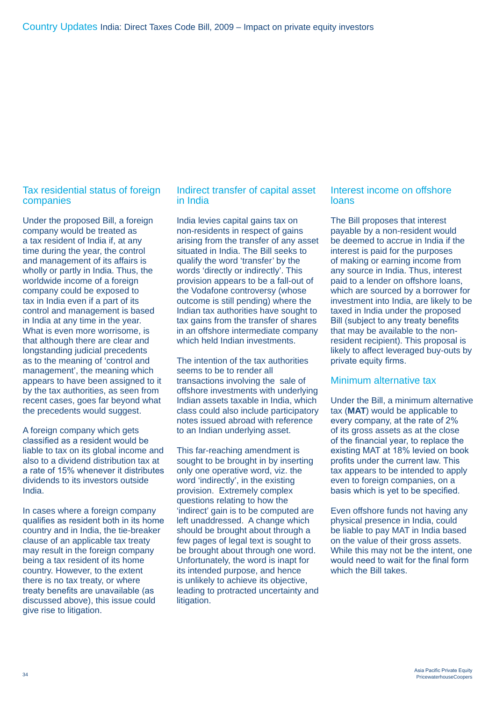## Tax residential status of foreign companies

Under the proposed Bill, a foreign company would be treated as a tax resident of India if, at any time during the year, the control and management of its affairs is wholly or partly in India. Thus, the worldwide income of a foreign company could be exposed to tax in India even if a part of its control and management is based in India at any time in the year. What is even more worrisome, is that although there are clear and longstanding judicial precedents as to the meaning of 'control and management', the meaning which appears to have been assigned to it by the tax authorities, as seen from recent cases, goes far beyond what the precedents would suggest.

A foreign company which gets classified as a resident would be liable to tax on its global income and also to a dividend distribution tax at a rate of 15% whenever it distributes dividends to its investors outside India.

In cases where a foreign company qualifies as resident both in its home country and in India, the tie-breaker clause of an applicable tax treaty may result in the foreign company being a tax resident of its home country. However, to the extent there is no tax treaty, or where treaty benefits are unavailable (as discussed above), this issue could give rise to litigation.

## Indirect transfer of capital asset in India

India levies capital gains tax on non-residents in respect of gains arising from the transfer of any asset situated in India. The Bill seeks to qualify the word 'transfer' by the words 'directly or indirectly'. This provision appears to be a fall-out of the Vodafone controversy (whose outcome is still pending) where the Indian tax authorities have sought to tax gains from the transfer of shares in an offshore intermediate company which held Indian investments.

The intention of the tax authorities seems to be to render all transactions involving the sale of offshore investments with underlying Indian assets taxable in India, which class could also include participatory notes issued abroad with reference to an Indian underlying asset.

This far-reaching amendment is sought to be brought in by inserting only one operative word, viz. the word 'indirectly', in the existing provision. Extremely complex questions relating to how the 'indirect' gain is to be computed are left unaddressed. A change which should be brought about through a few pages of legal text is sought to be brought about through one word. Unfortunately, the word is inapt for its intended purpose, and hence is unlikely to achieve its objective, leading to protracted uncertainty and litigation.

## Interest income on offshore loans

The Bill proposes that interest payable by a non-resident would be deemed to accrue in India if the interest is paid for the purposes of making or earning income from any source in India. Thus, interest paid to a lender on offshore loans, which are sourced by a borrower for investment into India, are likely to be taxed in India under the proposed Bill (subject to any treaty benefits that may be available to the nonresident recipient). This proposal is likely to affect leveraged buy-outs by private equity firms.

## Minimum alternative tax

Under the Bill, a minimum alternative tax (**MAT**) would be applicable to every company, at the rate of 2% of its gross assets as at the close of the financial year, to replace the existing MAT at 18% levied on book profits under the current law. This tax appears to be intended to apply even to foreign companies, on a basis which is yet to be specified.

Even offshore funds not having any physical presence in India, could be liable to pay MAT in India based on the value of their gross assets. While this may not be the intent, one would need to wait for the final form which the Bill takes.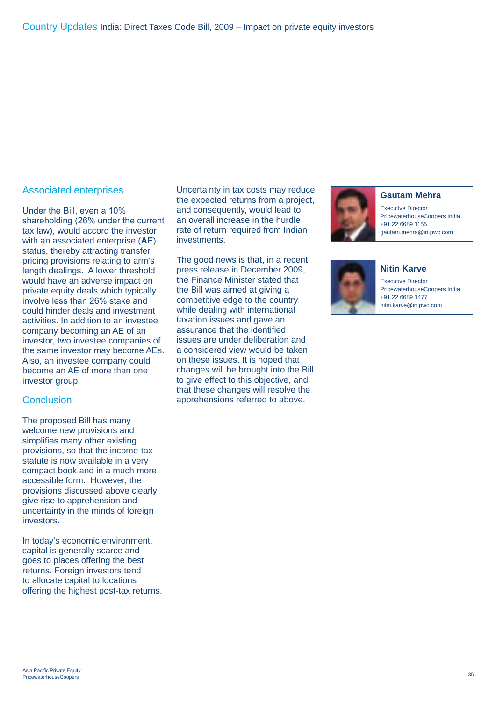## Associated enterprises

Under the Bill, even a 10% shareholding (26% under the current tax law), would accord the investor with an associated enterprise (**AE**) status, thereby attracting transfer pricing provisions relating to arm's length dealings. A lower threshold would have an adverse impact on private equity deals which typically involve less than 26% stake and could hinder deals and investment activities. In addition to an investee company becoming an AE of an investor, two investee companies of the same investor may become AEs. Also, an investee company could become an AE of more than one investor group.

## **Conclusion**

The proposed Bill has many welcome new provisions and simplifies many other existing provisions, so that the income-tax statute is now available in a very compact book and in a much more accessible form. However, the provisions discussed above clearly give rise to apprehension and uncertainty in the minds of foreign investors.

In today's economic environment, capital is generally scarce and goes to places offering the best returns. Foreign investors tend to allocate capital to locations offering the highest post-tax returns. Uncertainty in tax costs may reduce the expected returns from a project, and consequently, would lead to an overall increase in the hurdle rate of return required from Indian investments.

The good news is that, in a recent press release in December 2009, the Finance Minister stated that the Bill was aimed at giving a competitive edge to the country while dealing with international taxation issues and gave an assurance that the identified issues are under deliberation and a considered view would be taken on these issues. It is hoped that changes will be brought into the Bill to give effect to this objective, and that these changes will resolve the apprehensions referred to above.



#### **Gautam Mehra**

Executive Director PricewaterhouseCoopers India +91 22 6689 1155 gautam.mehra@in.pwc.com



**Nitin Karve** Executive Director

PricewaterhouseCoopers India +91 22 6689 1477 nitin.karve@in.pwc.com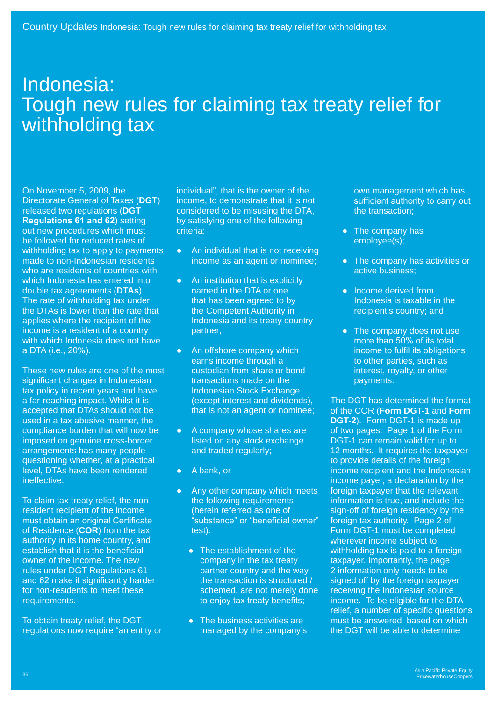## Indonesia: Tough new rules for claiming tax treaty relief for withholding tax

On November 5, 2009, the Directorate General of Taxes (**DGT**) released two regulations (**DGT Regulations 61 and 62**) setting out new procedures which must be followed for reduced rates of withholding tax to apply to payments made to non-Indonesian residents who are residents of countries with which Indonesia has entered into double tax agreements (**DTAs**). The rate of withholding tax under the DTAs is lower than the rate that applies where the recipient of the income is a resident of a country with which Indonesia does not have a DTA (i.e., 20%).

These new rules are one of the most significant changes in Indonesian tax policy in recent years and have a far-reaching impact. Whilst it is accepted that DTAs should not be used in a tax abusive manner, the compliance burden that will now be imposed on genuine cross-border arrangements has many people questioning whether, at a practical level, DTAs have been rendered ineffective.

To claim tax treaty relief, the nonresident recipient of the income must obtain an original Certificate of Residence (**COR**) from the tax authority in its home country, and establish that it is the beneficial owner of the income. The new rules under DGT Regulations 61 and 62 make it significantly harder for non-residents to meet these requirements.

To obtain treaty relief, the DGT regulations now require "an entity or individual", that is the owner of the income, to demonstrate that it is not considered to be misusing the DTA, by satisfying one of the following criteria:

- An individual that is not receiving income as an agent or nominee;
- An institution that is explicitly named in the DTA or one that has been agreed to by the Competent Authority in Indonesia and its treaty country partner;
- An offshore company which earns income through a custodian from share or bond transactions made on the Indonesian Stock Exchange (except interest and dividends), that is not an agent or nominee;
- A company whose shares are listed on any stock exchange and traded regularly;
- A bank, or
- Any other company which meets the following requirements (herein referred as one of "substance" or "beneficial owner" test):
	- The establishment of the company in the tax treaty partner country and the way the transaction is structured / schemed, are not merely done to enjoy tax treaty benefits;
	- The business activities are managed by the company's

own management which has sufficient authority to carry out the transaction;

- The company has employee(s);
- The company has activities or active business;
- Income derived from Indonesia is taxable in the recipient's country; and
- The company does not use more than 50% of its total income to fulfil its obligations to other parties, such as interest, royalty, or other payments.

The DGT has determined the format of the COR (**Form DGT-1** and **Form DGT-2**). Form DGT-1 is made up of two pages. Page 1 of the Form DGT-1 can remain valid for up to 12 months. It requires the taxpayer to provide details of the foreign income recipient and the Indonesian income payer, a declaration by the foreign taxpayer that the relevant information is true, and include the sign-off of foreign residency by the foreign tax authority. Page 2 of Form DGT-1 must be completed wherever income subject to withholding tax is paid to a foreign taxpayer. Importantly, the page 2 information only needs to be signed off by the foreign taxpayer receiving the Indonesian source income. To be eligible for the DTA relief, a number of specific questions must be answered, based on which the DGT will be able to determine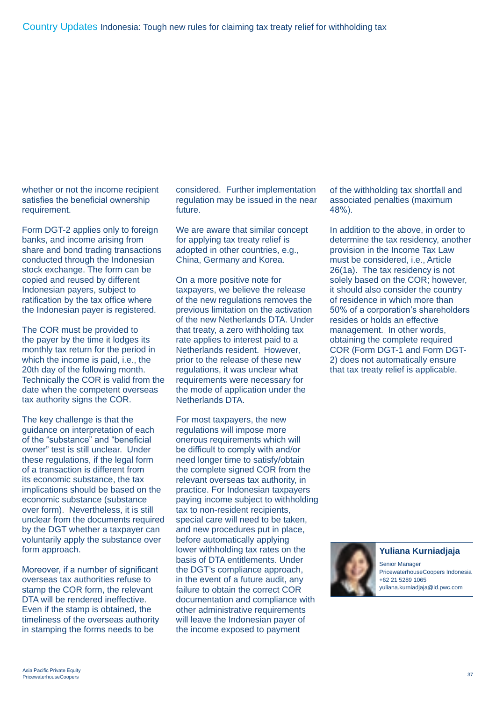whether or not the income recipient satisfies the beneficial ownership requirement.

Form DGT-2 applies only to foreign banks, and income arising from share and bond trading transactions conducted through the Indonesian stock exchange. The form can be copied and reused by different Indonesian payers, subject to ratification by the tax office where the Indonesian payer is registered.

The COR must be provided to the payer by the time it lodges its monthly tax return for the period in which the income is paid, i.e., the 20th day of the following month. Technically the COR is valid from the date when the competent overseas tax authority signs the COR.

The key challenge is that the guidance on interpretation of each of the "substance" and "beneficial owner" test is still unclear. Under these regulations, if the legal form of a transaction is different from its economic substance, the tax implications should be based on the economic substance (substance over form). Nevertheless, it is still unclear from the documents required by the DGT whether a taxpayer can voluntarily apply the substance over form approach.

Moreover, if a number of significant overseas tax authorities refuse to stamp the COR form, the relevant DTA will be rendered ineffective. Even if the stamp is obtained, the timeliness of the overseas authority in stamping the forms needs to be

considered. Further implementation regulation may be issued in the near future.

We are aware that similar concept for applying tax treaty relief is adopted in other countries, e.g., China, Germany and Korea.

On a more positive note for taxpayers, we believe the release of the new regulations removes the previous limitation on the activation of the new Netherlands DTA. Under that treaty, a zero withholding tax rate applies to interest paid to a Netherlands resident. However, prior to the release of these new regulations, it was unclear what requirements were necessary for the mode of application under the Netherlands DTA.

For most taxpayers, the new regulations will impose more onerous requirements which will be difficult to comply with and/or need longer time to satisfy/obtain the complete signed COR from the relevant overseas tax authority, in practice. For Indonesian taxpayers paying income subject to withholding tax to non-resident recipients, special care will need to be taken, and new procedures put in place, before automatically applying lower withholding tax rates on the basis of DTA entitlements. Under the DGT's compliance approach, in the event of a future audit, any failure to obtain the correct COR documentation and compliance with other administrative requirements will leave the Indonesian payer of the income exposed to payment

of the withholding tax shortfall and associated penalties (maximum 48%).

In addition to the above, in order to determine the tax residency, another provision in the Income Tax Law must be considered, i.e., Article 26(1a). The tax residency is not solely based on the COR; however, it should also consider the country of residence in which more than 50% of a corporation's shareholders resides or holds an effective management. In other words, obtaining the complete required COR (Form DGT-1 and Form DGT-2) does not automatically ensure that tax treaty relief is applicable.



**Yuliana Kurniadjaja**

Senior Manager PricewaterhouseCoopers Indonesia +62 21 5289 1065 yuliana.kurniadjaja@id.pwc.com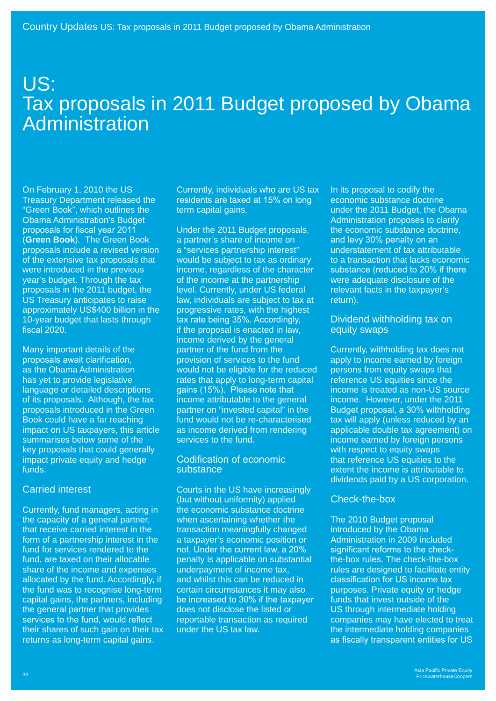## US: Tax proposals in 2011 Budget proposed by Obama **Administration**

On February 1, 2010 the US Treasury Department released the "Green Book", which outlines the Obama Administration's Budget proposals for fiscal year 2011 (**Green Book**). The Green Book proposals include a revised version of the extensive tax proposals that were introduced in the previous year's budget. Through the tax proposals in the 2011 budget, the US Treasury anticipates to raise approximately US\$400 billion in the 10-year budget that lasts through fiscal 2020.

Many important details of the proposals await clarification, as the Obama Administration has yet to provide legislative language or detailed descriptions of its proposals. Although, the tax proposals introduced in the Green Book could have a far reaching impact on US taxpayers, this article summarises below some of the key proposals that could generally impact private equity and hedge funds.

## Carried interest

Currently, fund managers, acting in the capacity of a general partner, that receive carried interest in the form of a partnership interest in the fund for services rendered to the fund, are taxed on their allocable share of the income and expenses allocated by the fund. Accordingly, if the fund was to recognise long-term capital gains, the partners, including the general partner that provides services to the fund, would reflect their shares of such gain on their tax returns as long-term capital gains.

Currently, individuals who are US tax residents are taxed at 15% on long term capital gains.

Under the 2011 Budget proposals, a partner's share of income on a "services partnership interest" would be subject to tax as ordinary income, regardless of the character of the income at the partnership level. Currently, under US federal law, individuals are subject to tax at progressive rates, with the highest tax rate being 35%. Accordingly, if the proposal is enacted in law, income derived by the general partner of the fund from the provision of services to the fund would not be eligible for the reduced rates that apply to long-term capital gains (15%). Please note that income attributable to the general partner on "invested capital" in the fund would not be re-characterised as income derived from rendering services to the fund.

## Codification of economic substance

Courts in the US have increasingly (but without uniformity) applied the economic substance doctrine when ascertaining whether the transaction meaningfully changed a taxpayer's economic position or not. Under the current law, a 20% penalty is applicable on substantial underpayment of income tax, and whilst this can be reduced in certain circumstances it may also be increased to 30% if the taxpayer does not disclose the listed or reportable transaction as required under the US tax law.

In its proposal to codify the economic substance doctrine under the 2011 Budget, the Obama Administration proposes to clarify the economic substance doctrine, and levy 30% penalty on an understatement of tax attributable to a transaction that lacks economic substance (reduced to 20% if there were adequate disclosure of the relevant facts in the taxpayer's return).

## Dividend withholding tax on equity swaps

Currently, withholding tax does not apply to income earned by foreign persons from equity swaps that reference US equities since the income is treated as non-US source income. However, under the 2011 Budget proposal, a 30% withholding tax will apply (unless reduced by an applicable double tax agreement) on income earned by foreign persons with respect to equity swaps that reference US equities to the extent the income is attributable to dividends paid by a US corporation.

## Check-the-box

The 2010 Budget proposal introduced by the Obama Administration in 2009 included significant reforms to the checkthe-box rules. The check-the-box rules are designed to facilitate entity classification for US income tax purposes. Private equity or hedge funds that invest outside of the US through intermediate holding companies may have elected to treat the intermediate holding companies as fiscally transparent entities for US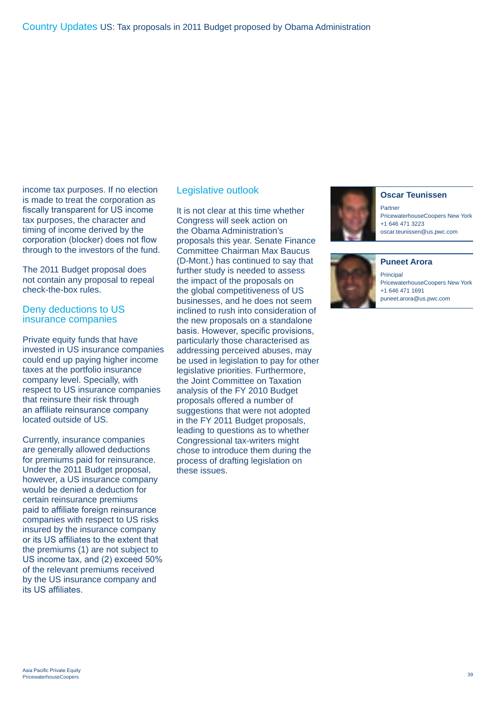income tax purposes. If no election is made to treat the corporation as fiscally transparent for US income tax purposes, the character and timing of income derived by the corporation (blocker) does not flow through to the investors of the fund.

The 2011 Budget proposal does not contain any proposal to repeal check-the-box rules.

## Deny deductions to US insurance companies

Private equity funds that have invested in US insurance companies could end up paying higher income taxes at the portfolio insurance company level. Specially, with respect to US insurance companies that reinsure their risk through an affiliate reinsurance company located outside of US.

Currently, insurance companies are generally allowed deductions for premiums paid for reinsurance. Under the 2011 Budget proposal, however, a US insurance company would be denied a deduction for certain reinsurance premiums paid to affiliate foreign reinsurance companies with respect to US risks insured by the insurance company or its US affiliates to the extent that the premiums (1) are not subject to US income tax, and (2) exceed 50% of the relevant premiums received by the US insurance company and its US affiliates.

## Legislative outlook

It is not clear at this time whether Congress will seek action on the Obama Administration's proposals this year. Senate Finance Committee Chairman Max Baucus (D-Mont.) has continued to say that further study is needed to assess the impact of the proposals on the global competitiveness of US businesses, and he does not seem inclined to rush into consideration of the new proposals on a standalone basis. However, specific provisions, particularly those characterised as addressing perceived abuses, may be used in legislation to pay for other legislative priorities. Furthermore, the Joint Committee on Taxation analysis of the FY 2010 Budget proposals offered a number of suggestions that were not adopted in the FY 2011 Budget proposals, leading to questions as to whether Congressional tax-writers might chose to introduce them during the process of drafting legislation on these issues.



#### **Oscar Teunissen**

Partner PricewaterhouseCoopers New York +1 646 471 3223 oscar.teunissen@us.pwc.com



**Principal** PricewaterhouseCoopers New York +1 646 471 1691 puneet.arora@us.pwc.com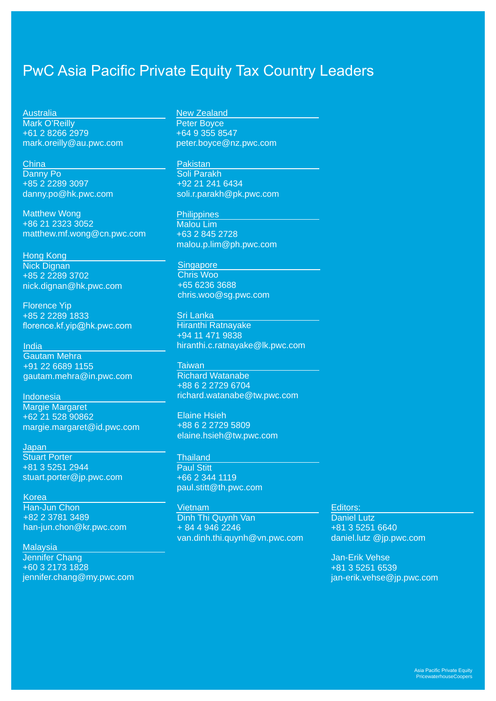## PwC Asia Pacific Private Equity Tax Country Leaders

**Australia** Mark O'Reilly +61 2 8266 2979 mark.oreilly@au.pwc.com

**China** Danny Po +85 2 2289 3097 danny.po@hk.pwc.com

Matthew Wong +86 21 2323 3052 matthew.mf.wong@cn.pwc.com

Hong Kong Nick Dignan +85 2 2289 3702 nick.dignan@hk.pwc.com

Florence Yip +85 2 2289 1833 florence.kf.yip@hk.pwc.com

India

Gautam Mehra +91 22 6689 1155 gautam.mehra@in.pwc.com

Indonesia Margie Margaret +62 21 528 90862 margie.margaret@id.pwc.com

**Japan Stuart Porter** +81 3 5251 2944 stuart.porter@jp.pwc.com

Korea Han-Jun Chon +82 2 3781 3489 han-jun.chon@kr.pwc.com

**Malaysia** Jennifer Chang +60 3 2173 1828 jennifer.chang@my.pwc.com New Zealand Peter Boyce +64 9 355 8547 peter.boyce@nz.pwc.com

Pakistan

Soli Parakh +92 21 241 6434 soli.r.parakh@pk.pwc.com

**Philippines** Malou Lim +63 2 845 2728 malou.p.lim@ph.pwc.com

**Singapore** Chris Woo +65 6236 3688 chris.woo@sg.pwc.com

Sri Lanka Hiranthi Ratnayake +94 11 471 9838 hiranthi.c.ratnayake@lk.pwc.com

**Taiwan** Richard Watanabe +88 6 2 2729 6704 richard.watanabe@tw.pwc.com

Elaine Hsieh +88 6 2 2729 5809 elaine.hsieh@tw.pwc.com

**Thailand** Paul Stitt +66 2 344 1119 paul.stitt@th.pwc.com

Vietnam Dinh Thi Quynh Van + 84 4 946 2246 van.dinh.thi.quynh@vn.pwc.com Editors:

Daniel Lutz +81 3 5251 6640 daniel.lutz @jp.pwc.com

Jan-Erik Vehse +81 3 5251 6539 jan-erik.vehse@jp.pwc.com

> Asia Pacific Private Equity **PricewaterhouseCoopers**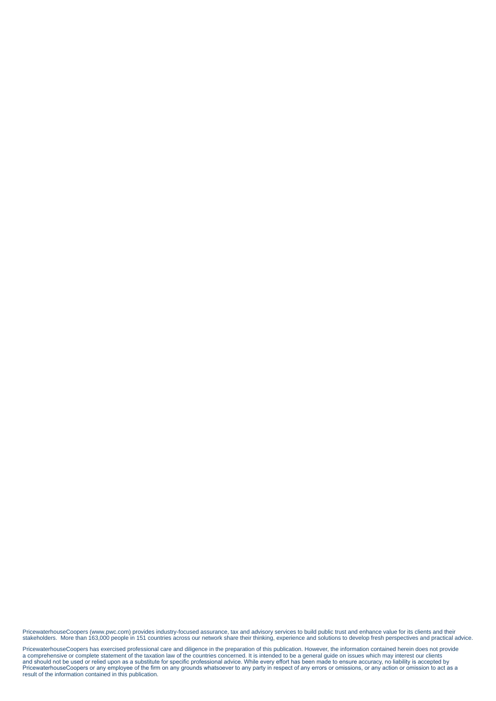PricewaterhouseCoopers (www.pwc.com) provides industry-focused assurance, tax and advisory services to build public trust and enhance value for its clients and their<br>stakeholders. More than 163,000 people in 151 countries

PricewaterhouseCoopers has exercised professional care and diligence in the preparation of this publication. However, the information contained herein does not provide<br>a comprehensive or complete statement of the taxation